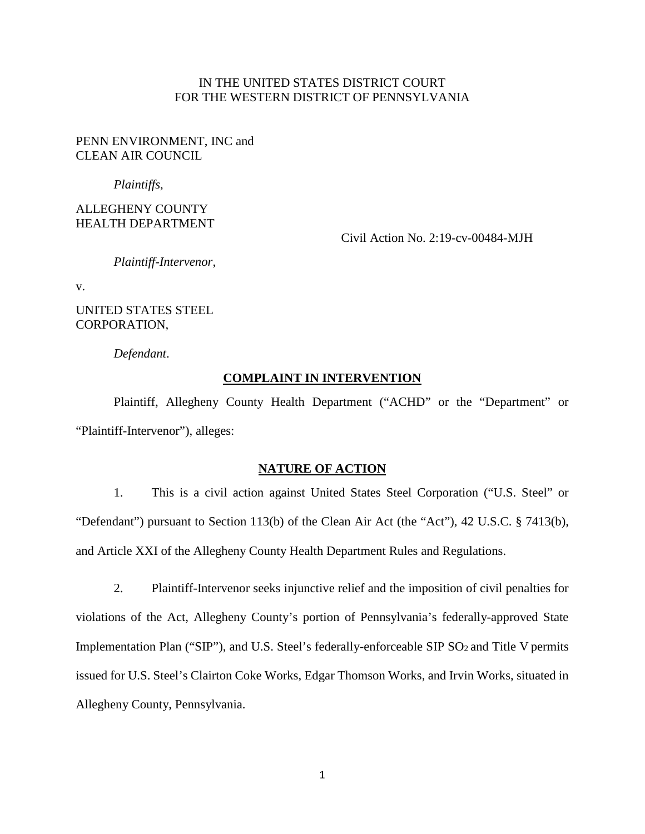## IN THE UNITED STATES DISTRICT COURT FOR THE WESTERN DISTRICT OF PENNSYLVANIA

## PENN ENVIRONMENT, INC and CLEAN AIR COUNCIL

*Plaintiffs*,

ALLEGHENY COUNTY HEALTH DEPARTMENT

Civil Action No. 2:19-cv-00484-MJH

*Plaintiff-Intervenor*,

v.

UNITED STATES STEEL CORPORATION,

*Defendant*.

## **COMPLAINT IN INTERVENTION**

Plaintiff, Allegheny County Health Department ("ACHD" or the "Department" or "Plaintiff-Intervenor"), alleges:

### **NATURE OF ACTION**

1. This is a civil action against United States Steel Corporation ("U.S. Steel" or "Defendant") pursuant to Section 113(b) of the Clean Air Act (the "Act"), 42 U.S.C. § 7413(b), and Article XXI of the Allegheny County Health Department Rules and Regulations.

2. Plaintiff-Intervenor seeks injunctive relief and the imposition of civil penalties for violations of the Act, Allegheny County's portion of Pennsylvania's federally-approved State Implementation Plan ("SIP"), and U.S. Steel's federally-enforceable SIP SO<sub>2</sub> and Title V permits issued for U.S. Steel's Clairton Coke Works, Edgar Thomson Works, and Irvin Works, situated in Allegheny County, Pennsylvania.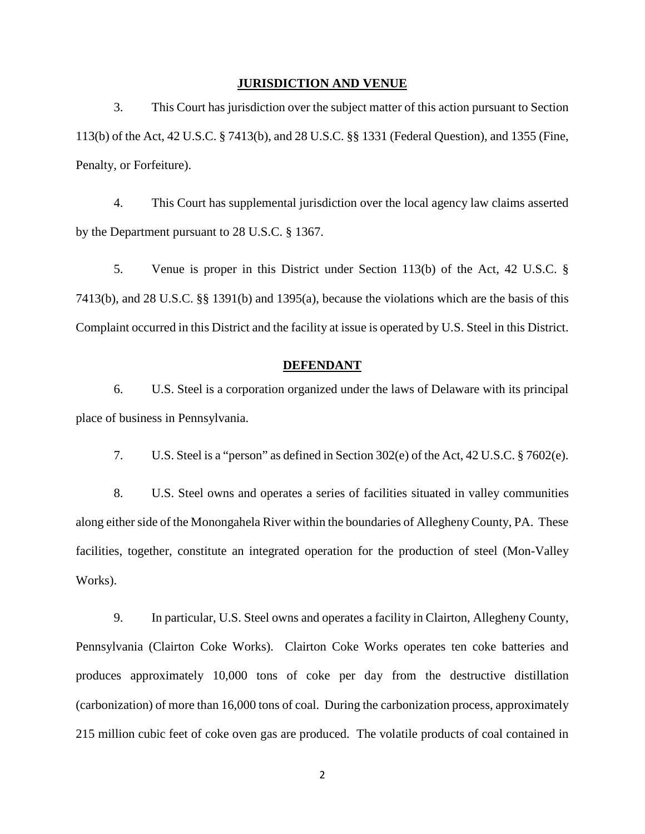#### **JURISDICTION AND VENUE**

3. This Court has jurisdiction over the subject matter of this action pursuant to Section 113(b) of the Act, 42 U.S.C. § 7413(b), and 28 U.S.C. §§ 1331 (Federal Question), and 1355 (Fine, Penalty, or Forfeiture).

4. This Court has supplemental jurisdiction over the local agency law claims asserted by the Department pursuant to 28 U.S.C. § 1367.

5. Venue is proper in this District under Section 113(b) of the Act, 42 U.S.C. § 7413(b), and 28 U.S.C. §§ 1391(b) and 1395(a), because the violations which are the basis of this Complaint occurred in this District and the facility at issue is operated by U.S. Steel in this District.

#### **DEFENDANT**

6. U.S. Steel is a corporation organized under the laws of Delaware with its principal place of business in Pennsylvania.

7. U.S. Steel is a "person" as defined in Section 302(e) of the Act, 42 U.S.C. § 7602(e).

8. U.S. Steel owns and operates a series of facilities situated in valley communities along either side of the Monongahela River within the boundaries of Allegheny County, PA. These facilities, together, constitute an integrated operation for the production of steel (Mon-Valley Works).

9. In particular, U.S. Steel owns and operates a facility in Clairton, Allegheny County, Pennsylvania (Clairton Coke Works). Clairton Coke Works operates ten coke batteries and produces approximately 10,000 tons of coke per day from the destructive distillation (carbonization) of more than 16,000 tons of coal. During the carbonization process, approximately 215 million cubic feet of coke oven gas are produced. The volatile products of coal contained in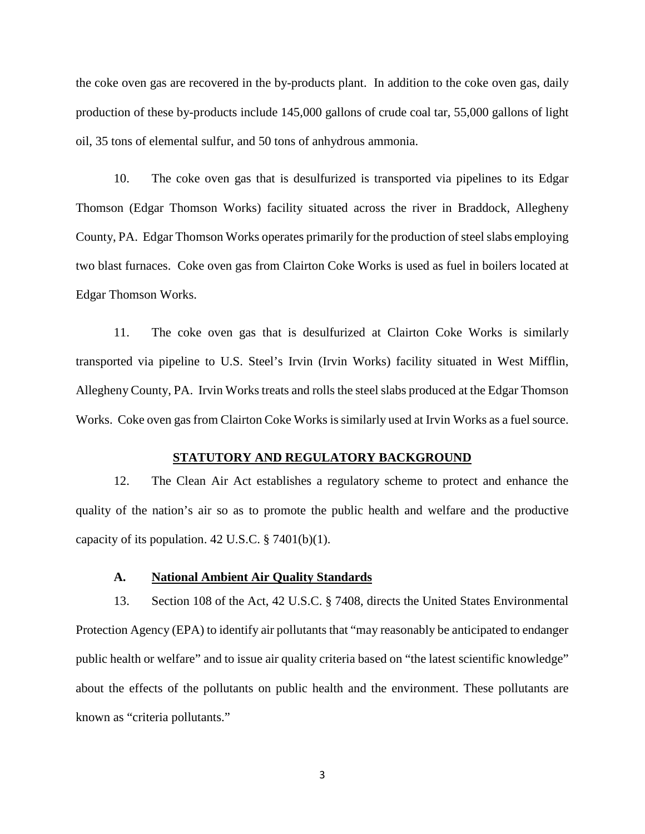the coke oven gas are recovered in the by-products plant. In addition to the coke oven gas, daily production of these by-products include 145,000 gallons of crude coal tar, 55,000 gallons of light oil, 35 tons of elemental sulfur, and 50 tons of anhydrous ammonia.

10. The coke oven gas that is desulfurized is transported via pipelines to its Edgar Thomson (Edgar Thomson Works) facility situated across the river in Braddock, Allegheny County, PA. Edgar Thomson Works operates primarily for the production of steel slabs employing two blast furnaces. Coke oven gas from Clairton Coke Works is used as fuel in boilers located at Edgar Thomson Works.

11. The coke oven gas that is desulfurized at Clairton Coke Works is similarly transported via pipeline to U.S. Steel's Irvin (Irvin Works) facility situated in West Mifflin, Allegheny County, PA. Irvin Works treats and rolls the steel slabs produced at the Edgar Thomson Works. Coke oven gas from Clairton Coke Works is similarly used at Irvin Works as a fuel source.

### **STATUTORY AND REGULATORY BACKGROUND**

12. The Clean Air Act establishes a regulatory scheme to protect and enhance the quality of the nation's air so as to promote the public health and welfare and the productive capacity of its population.  $42 \text{ U.S.C.}$  §  $7401(b)(1)$ .

#### **A. National Ambient Air Quality Standards**

13. Section 108 of the Act, 42 U.S.C. § 7408, directs the United States Environmental Protection Agency (EPA) to identify air pollutants that "may reasonably be anticipated to endanger public health or welfare" and to issue air quality criteria based on "the latest scientific knowledge" about the effects of the pollutants on public health and the environment. These pollutants are known as "criteria pollutants."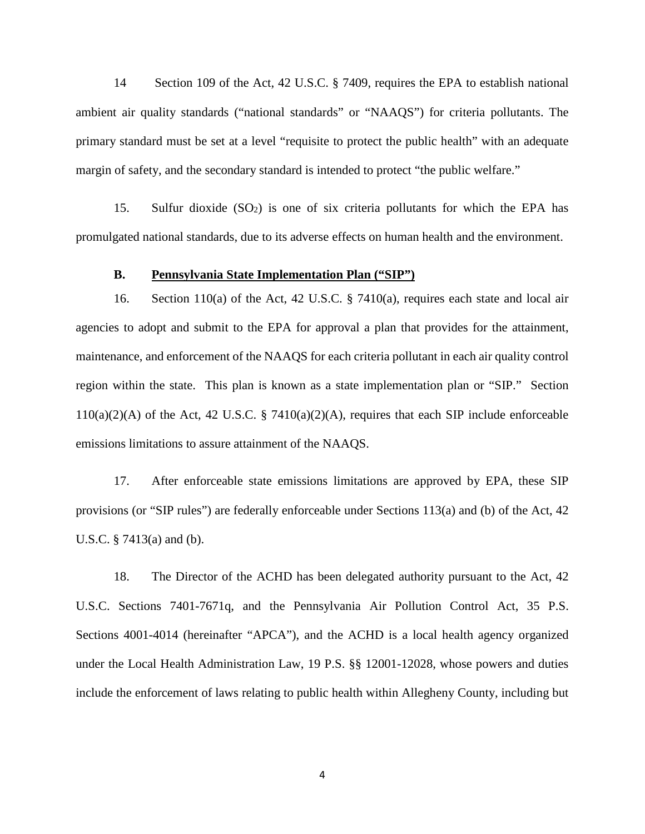14 Section 109 of the Act, 42 U.S.C. § 7409, requires the EPA to establish national ambient air quality standards ("national standards" or "NAAQS") for criteria pollutants. The primary standard must be set at a level "requisite to protect the public health" with an adequate margin of safety, and the secondary standard is intended to protect "the public welfare."

15. Sulfur dioxide  $(SO_2)$  is one of six criteria pollutants for which the EPA has promulgated national standards, due to its adverse effects on human health and the environment.

### **B. Pennsylvania State Implementation Plan ("SIP")**

16. Section 110(a) of the Act, 42 U.S.C. § 7410(a), requires each state and local air agencies to adopt and submit to the EPA for approval a plan that provides for the attainment, maintenance, and enforcement of the NAAQS for each criteria pollutant in each air quality control region within the state. This plan is known as a state implementation plan or "SIP." Section  $110(a)(2)(A)$  of the Act, 42 U.S.C. § 7410 $(a)(2)(A)$ , requires that each SIP include enforceable emissions limitations to assure attainment of the NAAQS.

17. After enforceable state emissions limitations are approved by EPA, these SIP provisions (or "SIP rules") are federally enforceable under Sections 113(a) and (b) of the Act, 42 U.S.C. § 7413(a) and (b).

18. The Director of the ACHD has been delegated authority pursuant to the Act, 42 U.S.C. Sections 7401-7671q, and the Pennsylvania Air Pollution Control Act, 35 P.S. Sections 4001-4014 (hereinafter "APCA"), and the ACHD is a local health agency organized under the Local Health Administration Law, 19 P.S. §§ 12001-12028, whose powers and duties include the enforcement of laws relating to public health within Allegheny County, including but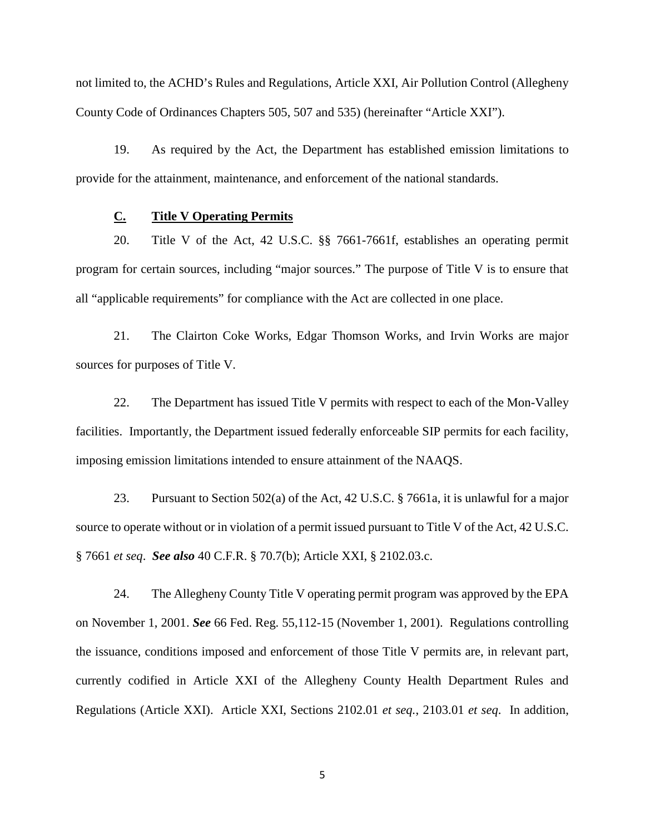not limited to, the ACHD's Rules and Regulations, Article XXI, Air Pollution Control (Allegheny County Code of Ordinances Chapters 505, 507 and 535) (hereinafter "Article XXI").

19. As required by the Act, the Department has established emission limitations to provide for the attainment, maintenance, and enforcement of the national standards.

### **C. Title V Operating Permits**

20. Title V of the Act, 42 U.S.C. §§ 7661-7661f, establishes an operating permit program for certain sources, including "major sources." The purpose of Title V is to ensure that all "applicable requirements" for compliance with the Act are collected in one place.

21. The Clairton Coke Works, Edgar Thomson Works, and Irvin Works are major sources for purposes of Title V.

22. The Department has issued Title V permits with respect to each of the Mon-Valley facilities. Importantly, the Department issued federally enforceable SIP permits for each facility, imposing emission limitations intended to ensure attainment of the NAAQS.

23. Pursuant to Section 502(a) of the Act, 42 U.S.C. § 7661a, it is unlawful for a major source to operate without or in violation of a permit issued pursuant to Title V of the Act, 42 U.S.C. § 7661 *et seq*. *See also* 40 C.F.R. § 70.7(b); Article XXI, § 2102.03.c.

24. The Allegheny County Title V operating permit program was approved by the EPA on November 1, 2001. *See* 66 Fed. Reg. 55,112-15 (November 1, 2001). Regulations controlling the issuance, conditions imposed and enforcement of those Title V permits are, in relevant part, currently codified in Article XXI of the Allegheny County Health Department Rules and Regulations (Article XXI). Article XXI, Sections 2102.01 *et seq.*, 2103.01 *et seq*. In addition,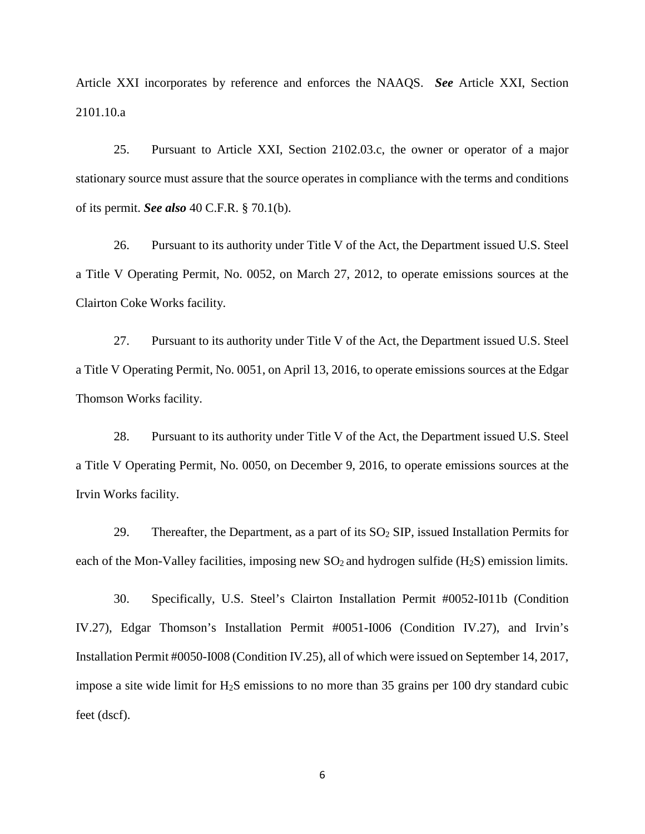Article XXI incorporates by reference and enforces the NAAQS. *See* Article XXI, Section 2101.10.a

25. Pursuant to Article XXI, Section 2102.03.c, the owner or operator of a major stationary source must assure that the source operates in compliance with the terms and conditions of its permit. *See also* 40 C.F.R. § 70.1(b).

26. Pursuant to its authority under Title V of the Act, the Department issued U.S. Steel a Title V Operating Permit, No. 0052, on March 27, 2012, to operate emissions sources at the Clairton Coke Works facility.

27. Pursuant to its authority under Title V of the Act, the Department issued U.S. Steel a Title V Operating Permit, No. 0051, on April 13, 2016, to operate emissions sources at the Edgar Thomson Works facility.

28. Pursuant to its authority under Title V of the Act, the Department issued U.S. Steel a Title V Operating Permit, No. 0050, on December 9, 2016, to operate emissions sources at the Irvin Works facility.

29. Thereafter, the Department, as a part of its  $SO<sub>2</sub>$  SIP, issued Installation Permits for each of the Mon-Valley facilities, imposing new  $SO_2$  and hydrogen sulfide (H<sub>2</sub>S) emission limits.

30. Specifically, U.S. Steel's Clairton Installation Permit #0052-I011b (Condition IV.27), Edgar Thomson's Installation Permit #0051-I006 (Condition IV.27), and Irvin's Installation Permit #0050-I008 (Condition IV.25), all of which were issued on September 14, 2017, impose a site wide limit for H2S emissions to no more than 35 grains per 100 dry standard cubic feet (dscf).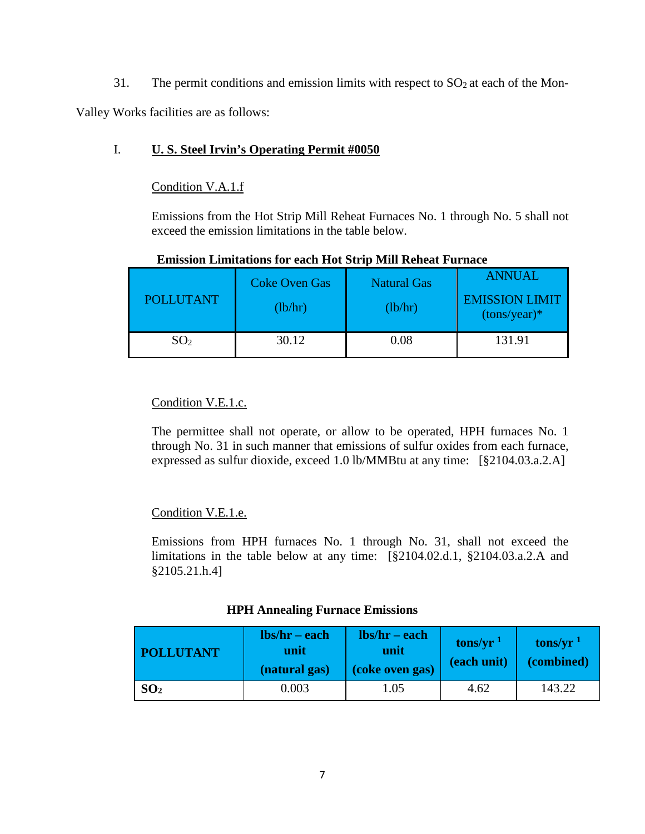31. The permit conditions and emission limits with respect to  $SO<sub>2</sub>$  at each of the Mon-

Valley Works facilities are as follows:

## I. **U. S. Steel Irvin's Operating Permit #0050**

## Condition V.A.1.f

Emissions from the Hot Strip Mill Reheat Furnaces No. 1 through No. 5 shall not exceed the emission limitations in the table below.

| <b>POLLUTANT</b> | <b>Coke Oven Gas</b><br>(lb/hr) | <b>Natural Gas</b><br>(lb/hr) | <b>ANNUAL</b><br><b>EMISSION LIMIT</b><br>$(tons/year)*$ |  |  |
|------------------|---------------------------------|-------------------------------|----------------------------------------------------------|--|--|
| SO <sub>2</sub>  | 30.12                           | 0.08                          | 131.91                                                   |  |  |

## **Emission Limitations for each Hot Strip Mill Reheat Furnace**

## Condition V.E.1.c.

The permittee shall not operate, or allow to be operated, HPH furnaces No. 1 through No. 31 in such manner that emissions of sulfur oxides from each furnace, expressed as sulfur dioxide, exceed 1.0 lb/MMBtu at any time: [§2104.03.a.2.A]

# Condition V.E.1.e.

Emissions from HPH furnaces No. 1 through No. 31, shall not exceed the limitations in the table below at any time: [§2104.02.d.1, §2104.03.a.2.A and §2105.21.h.4]

## **HPH Annealing Furnace Emissions**

| <b>POLLUTANT</b> | $\mathbf{lbs}/\mathbf{hr} - \mathbf{each}$<br>unit<br>(natural gas) | $\mathbf{lbs}/\mathbf{hr} - \mathbf{each}$<br>unit<br>(coke oven gas) | tons/yr $1$<br>(each unit) | tons/yr $1$<br>(combined) |
|------------------|---------------------------------------------------------------------|-----------------------------------------------------------------------|----------------------------|---------------------------|
| SO <sub>2</sub>  | 0.003                                                               | 1.05                                                                  | 4.62                       | 143.22                    |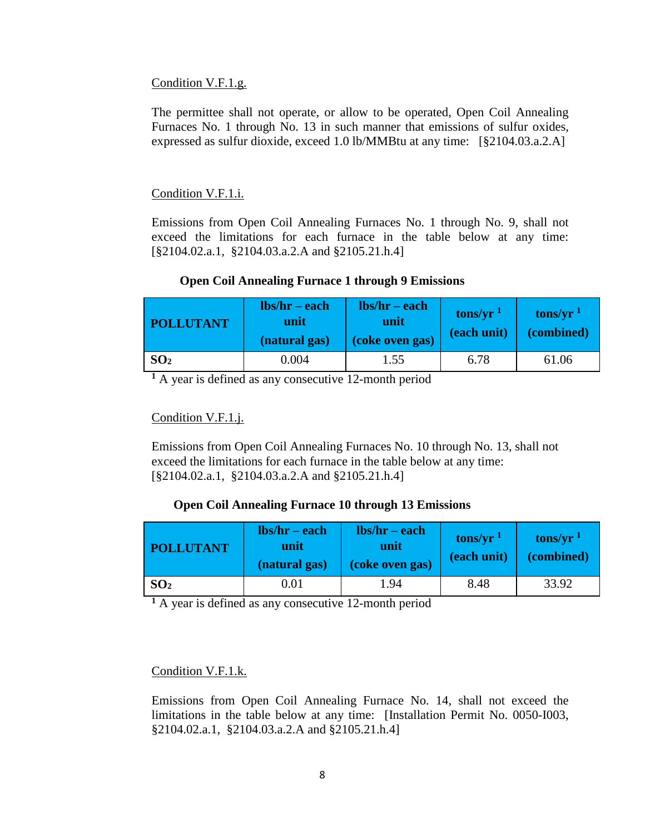#### Condition V.F.1.g.

The permittee shall not operate, or allow to be operated, Open Coil Annealing Furnaces No. 1 through No. 13 in such manner that emissions of sulfur oxides, expressed as sulfur dioxide, exceed 1.0 lb/MMBtu at any time: [§2104.03.a.2.A]

### Condition V.F.1.i.

Emissions from Open Coil Annealing Furnaces No. 1 through No. 9, shall not exceed the limitations for each furnace in the table below at any time: [§2104.02.a.1, §2104.03.a.2.A and §2105.21.h.4]

### **Open Coil Annealing Furnace 1 through 9 Emissions**

| <b>POLLUTANT</b> | $\mathbf{lbs}/\mathbf{hr} - \mathbf{each}$<br>unit<br>(natural gas) | $\mathbf{lbs}/\mathbf{hr} - \mathbf{each}$<br>unit<br>(coke oven gas) | tons/yr $1$<br>(each unit) | tons/ $yr1$<br>(combined) |
|------------------|---------------------------------------------------------------------|-----------------------------------------------------------------------|----------------------------|---------------------------|
| SO <sub>2</sub>  | 0.004                                                               | 1.55                                                                  | 6.78                       | 61.06                     |

**<sup>1</sup>** A year is defined as any consecutive 12-month period

### Condition V.F.1.j.

Emissions from Open Coil Annealing Furnaces No. 10 through No. 13, shall not exceed the limitations for each furnace in the table below at any time: [§2104.02.a.1, §2104.03.a.2.A and §2105.21.h.4]

### **Open Coil Annealing Furnace 10 through 13 Emissions**

| <b>POLLUTANT</b> | $\mathbf{lbs}/\mathbf{hr}-\mathbf{each}$<br>unit<br>(natural gas) | $\mathbf{lbs}/\mathbf{hr}$ – each<br>unit<br>(coke oven gas) | tons/yr $1$<br>(each unit) | tons/yr $1$<br>(combined) |
|------------------|-------------------------------------------------------------------|--------------------------------------------------------------|----------------------------|---------------------------|
| SO <sub>2</sub>  | $0.01\,$                                                          | 1.94                                                         | 8.48                       | 33.92                     |

**<sup>1</sup>** A year is defined as any consecutive 12-month period

## Condition V.F.1.k.

Emissions from Open Coil Annealing Furnace No. 14, shall not exceed the limitations in the table below at any time: [Installation Permit No. 0050-I003, §2104.02.a.1, §2104.03.a.2.A and §2105.21.h.4]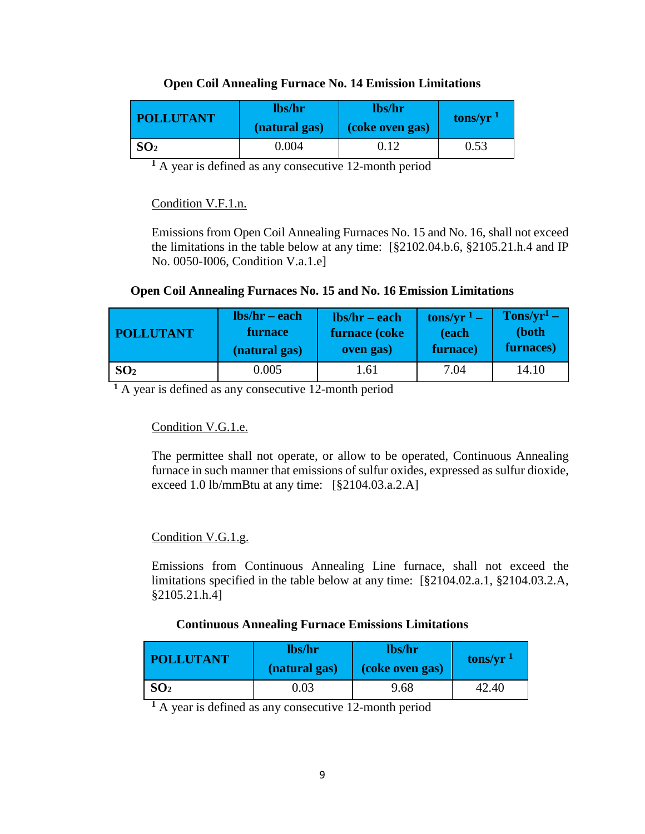## **Open Coil Annealing Furnace No. 14 Emission Limitations**

| <b>POLLUTANT</b> | lbs/hr<br>(natural gas) | lbs/hr<br>(coke oven gas) | tons/yr $1$ |
|------------------|-------------------------|---------------------------|-------------|
| SO <sub>2</sub>  | 0.004                   | 0.12                      | 0.53        |

**<sup>1</sup>** A year is defined as any consecutive 12-month period

## Condition V.F.1.n.

Emissions from Open Coil Annealing Furnaces No. 15 and No. 16, shall not exceed the limitations in the table below at any time: [§2102.04.b.6, §2105.21.h.4 and IP No. 0050-I006, Condition V.a.1.e]

## **Open Coil Annealing Furnaces No. 15 and No. 16 Emission Limitations**

| <b>POLLUTANT</b> | $\mathbf{lbs}/\mathbf{hr} - \mathbf{each}$ | $\mathbf{lbs}/\mathbf{hr}$ – each | tons/yr $1 -$ | $Tons/yr1$ – |
|------------------|--------------------------------------------|-----------------------------------|---------------|--------------|
|                  | <b>furnace</b>                             | furnace (coke                     | (each         | (both        |
|                  | (natural gas)                              | oven gas)                         | furnace)      | furnaces)    |
| SO <sub>2</sub>  | 0.005                                      | .61                               | 7.04          | 14.10        |

**<sup>1</sup>** A year is defined as any consecutive 12-month period

# Condition V.G.1.e.

The permittee shall not operate, or allow to be operated, Continuous Annealing furnace in such manner that emissions of sulfur oxides, expressed as sulfur dioxide, exceed 1.0 lb/mmBtu at any time: [§2104.03.a.2.A]

# Condition V.G.1.g.

Emissions from Continuous Annealing Line furnace, shall not exceed the limitations specified in the table below at any time: [§2104.02.a.1, §2104.03.2.A, §2105.21.h.4]

## **Continuous Annealing Furnace Emissions Limitations**

| <b>POLLUTANT</b> | lbs/hr<br>(natural gas) | lbs/hr<br>(coke oven gas) | tons/yr $1$ |
|------------------|-------------------------|---------------------------|-------------|
| SO <sub>2</sub>  | 0.03                    | 9.68                      | 42.40       |

**<sup>1</sup>** A year is defined as any consecutive 12-month period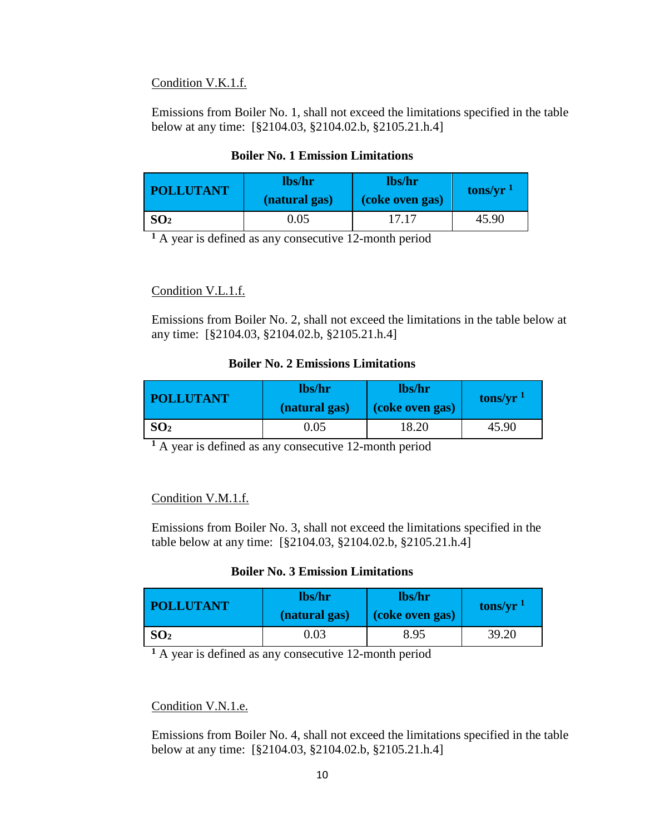### Condition V.K.1.f.

Emissions from Boiler No. 1, shall not exceed the limitations specified in the table below at any time: [§2104.03, §2104.02.b, §2105.21.h.4]

## **Boiler No. 1 Emission Limitations**

| <b>POLLUTANT</b> | lbs/hr<br>(natural gas) | lbs/hr<br>(coke oven gas) | tons/yr $1$ |
|------------------|-------------------------|---------------------------|-------------|
| SO <sub>2</sub>  | 0.05                    | 17.17                     | 45.90       |

**<sup>1</sup>** A year is defined as any consecutive 12-month period

## Condition V.L.1.f.

Emissions from Boiler No. 2, shall not exceed the limitations in the table below at any time: [§2104.03, §2104.02.b, §2105.21.h.4]

### **Boiler No. 2 Emissions Limitations**

| <b>POLLUTANT</b> | lbs/hr<br>(natural gas) | lbs/hr<br>(coke oven gas) | tons/yr $1$ |
|------------------|-------------------------|---------------------------|-------------|
| SO <sub>2</sub>  | 0.05                    | 18.20                     | 45.90       |

**<sup>1</sup>** A year is defined as any consecutive 12-month period

## Condition V.M.1.f.

Emissions from Boiler No. 3, shall not exceed the limitations specified in the table below at any time: [§2104.03, §2104.02.b, §2105.21.h.4]

## **Boiler No. 3 Emission Limitations**

| <b>POLLUTANT</b> | lbs/hr<br>(natural gas) | lbs/hr<br>(coke oven gas) | tons/yr $1$ |
|------------------|-------------------------|---------------------------|-------------|
| SO <sub>2</sub>  | 0.03                    | 8.95                      | 39.20       |

**<sup>1</sup>** A year is defined as any consecutive 12-month period

## Condition V.N.1.e.

Emissions from Boiler No. 4, shall not exceed the limitations specified in the table below at any time: [§2104.03, §2104.02.b, §2105.21.h.4]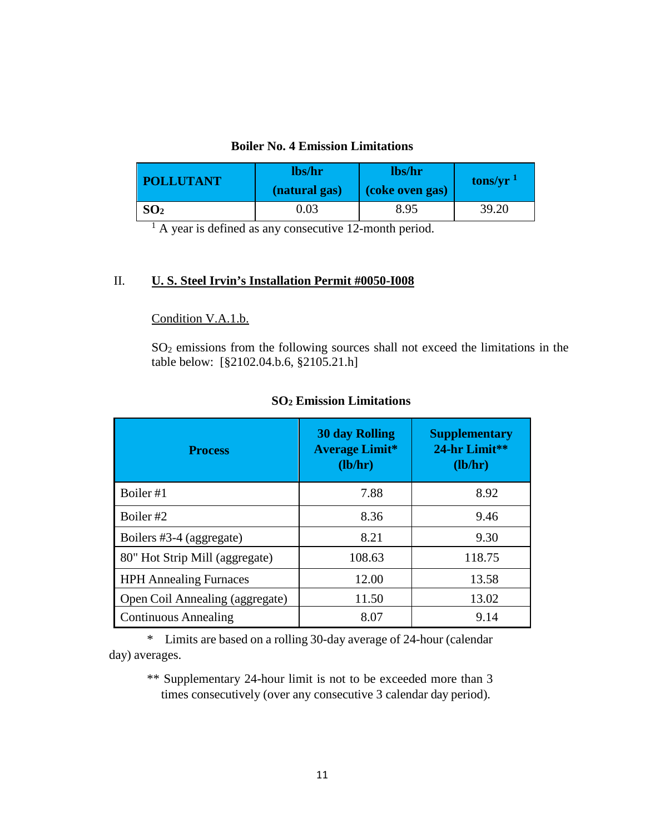## **Boiler No. 4 Emission Limitations**

| <b>POLLUTANT</b> | lbs/hr<br>(natural gas) | lbs/hr<br>(coke oven gas) | tons/yr $1$ |
|------------------|-------------------------|---------------------------|-------------|
| SO <sub>2</sub>  | ).03                    | 8.95                      | 39.20       |

<sup>1</sup> A year is defined as any consecutive 12-month period.

## II. **U. S. Steel Irvin's Installation Permit #0050-I008**

### Condition V.A.1.b.

SO2 emissions from the following sources shall not exceed the limitations in the table below: [§2102.04.b.6, §2105.21.h]

| <b>Process</b>                  | <b>30 day Rolling</b><br><b>Average Limit*</b><br>(lb/hr) | <b>Supplementary</b><br>24-hr Limit**<br>(lb/hr) |
|---------------------------------|-----------------------------------------------------------|--------------------------------------------------|
| Boiler #1                       | 7.88                                                      | 8.92                                             |
| Boiler #2                       | 8.36                                                      | 9.46                                             |
| Boilers #3-4 (aggregate)        | 8.21                                                      | 9.30                                             |
| 80" Hot Strip Mill (aggregate)  | 108.63                                                    | 118.75                                           |
| <b>HPH Annealing Furnaces</b>   | 12.00                                                     | 13.58                                            |
| Open Coil Annealing (aggregate) | 11.50                                                     | 13.02                                            |
| <b>Continuous Annealing</b>     | 8.07                                                      | 9.14                                             |

## **SO2 Emission Limitations**

\* Limits are based on a rolling 30-day average of 24-hour (calendar day) averages.

\*\* Supplementary 24-hour limit is not to be exceeded more than 3 times consecutively (over any consecutive 3 calendar day period).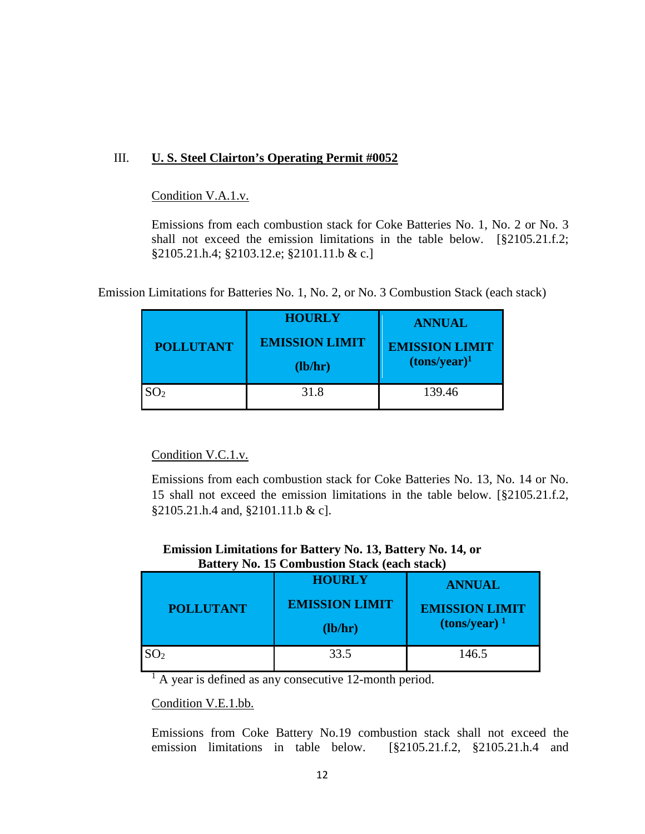## III. **U. S. Steel Clairton's Operating Permit #0052**

## Condition V.A.1.v.

Emissions from each combustion stack for Coke Batteries No. 1, No. 2 or No. 3 shall not exceed the emission limitations in the table below. [§2105.21.f.2; §2105.21.h.4; §2103.12.e; §2101.11.b & c.]

Emission Limitations for Batteries No. 1, No. 2, or No. 3 Combustion Stack (each stack)

| <b>POLLUTANT</b> | <b>HOURLY</b><br><b>EMISSION LIMIT</b><br>(lb/hr) | <b>ANNUAL</b><br><b>EMISSION LIMIT</b><br>$(tons/year)^1$ |
|------------------|---------------------------------------------------|-----------------------------------------------------------|
| SO <sub>2</sub>  | 31.8                                              | 139.46                                                    |

## Condition V.C.1.v.

Emissions from each combustion stack for Coke Batteries No. 13, No. 14 or No. 15 shall not exceed the emission limitations in the table below. [§2105.21.f.2, §2105.21.h.4 and, §2101.11.b & c].

### **Emission Limitations for Battery No. 13, Battery No. 14, or Battery No. 15 Combustion Stack (each stack)**

| <b>POLLUTANT</b> | <b>HOURLY</b><br><b>EMISSION LIMIT</b><br>(lb/hr) | <b>ANNUAL</b><br><b>EMISSION LIMIT</b><br>$\frac{1}{2}$ (tons/year) <sup>1</sup> |
|------------------|---------------------------------------------------|----------------------------------------------------------------------------------|
|                  | 33.5                                              | 146.5                                                                            |

<sup>1</sup> A year is defined as any consecutive 12-month period.

### Condition V.E.1.bb.

Emissions from Coke Battery No.19 combustion stack shall not exceed the emission limitations in table below. [§2105.21.f.2, §2105.21.h.4 and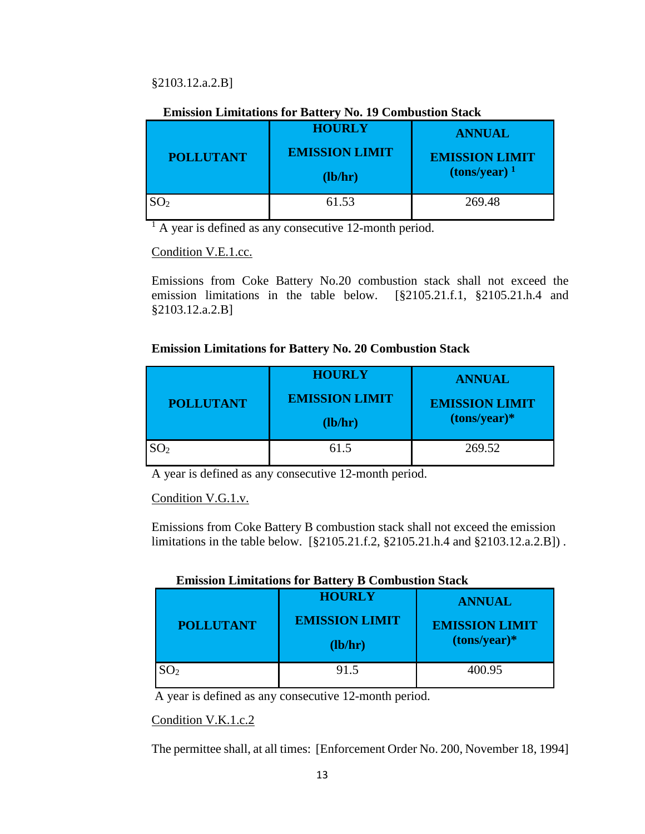## §2103.12.a.2.B]

### **Emission Limitations for Battery No. 19 Combustion Stack**

| <b>POLLUTANT</b> | <b>HOURLY</b><br><b>EMISSION LIMIT</b><br>(lb/hr) | <b>ANNUAL</b><br><b>EMISSION LIMIT</b><br>$\frac{1}{2}$ (tons/year) <sup>1</sup> |
|------------------|---------------------------------------------------|----------------------------------------------------------------------------------|
| SO <sub>2</sub>  | 61.53                                             | 269.48                                                                           |

<sup>1</sup> A year is defined as any consecutive 12-month period.

### Condition V.E.1.cc.

Emissions from Coke Battery No.20 combustion stack shall not exceed the emission limitations in the table below. [§2105.21.f.1, §2105.21.h.4 and §2103.12.a.2.B]

### **Emission Limitations for Battery No. 20 Combustion Stack**

| <b>POLLUTANT</b> | <b>HOURLY</b><br><b>EMISSION LIMIT</b><br>(lb/hr) | <b>ANNUAL</b><br><b>EMISSION LIMIT</b><br>$(tons/year)*$ |
|------------------|---------------------------------------------------|----------------------------------------------------------|
| SO <sub>2</sub>  | 61.5                                              | 269.52                                                   |

A year is defined as any consecutive 12-month period.

Condition V.G.1.v.

Emissions from Coke Battery B combustion stack shall not exceed the emission limitations in the table below. [§2105.21.f.2, §2105.21.h.4 and §2103.12.a.2.B]) .

## **Emission Limitations for Battery B Combustion Stack**

| <b>POLLUTANT</b> | <b>HOURLY</b><br><b>EMISSION LIMIT</b><br>(lb/hr) | <b>ANNUAL</b><br><b>EMISSION LIMIT</b><br>$(tons/year)*$ |
|------------------|---------------------------------------------------|----------------------------------------------------------|
|                  | 91.5                                              | 400.95                                                   |

A year is defined as any consecutive 12-month period.

### Condition V.K.1.c.2

The permittee shall, at all times: [Enforcement Order No. 200, November 18, 1994]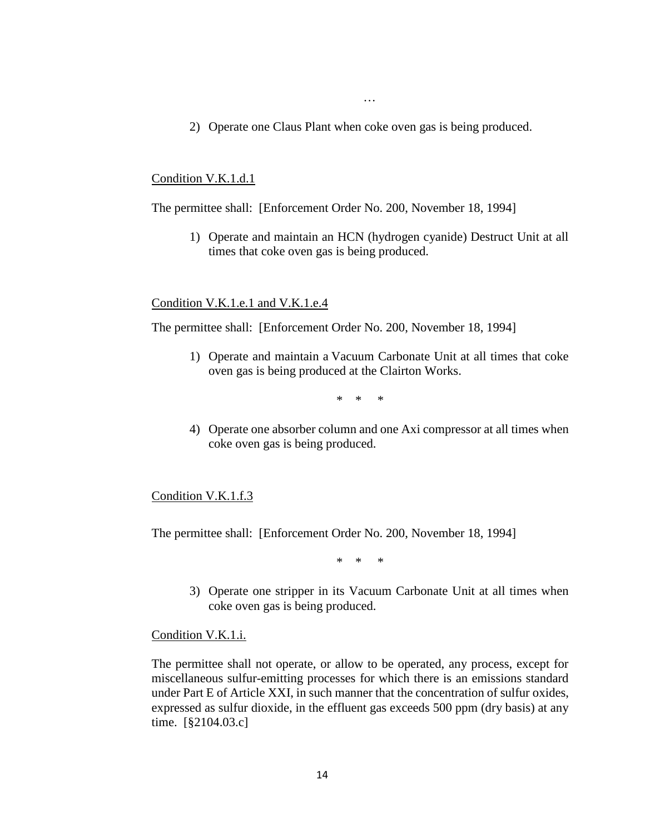2) Operate one Claus Plant when coke oven gas is being produced.

…

#### Condition V.K.1.d.1

The permittee shall: [Enforcement Order No. 200, November 18, 1994]

1) Operate and maintain an HCN (hydrogen cyanide) Destruct Unit at all times that coke oven gas is being produced.

#### Condition V.K.1.e.1 and V.K.1.e.4

The permittee shall: [Enforcement Order No. 200, November 18, 1994]

1) Operate and maintain a Vacuum Carbonate Unit at all times that coke oven gas is being produced at the Clairton Works.

\* \* \*

4) Operate one absorber column and one Axi compressor at all times when coke oven gas is being produced.

#### Condition V.K.1.f.3

The permittee shall: [Enforcement Order No. 200, November 18, 1994]

\* \* \*

3) Operate one stripper in its Vacuum Carbonate Unit at all times when coke oven gas is being produced.

#### Condition V.K.1.i.

The permittee shall not operate, or allow to be operated, any process, except for miscellaneous sulfur-emitting processes for which there is an emissions standard under Part E of Article XXI, in such manner that the concentration of sulfur oxides, expressed as sulfur dioxide, in the effluent gas exceeds 500 ppm (dry basis) at any time. [§2104.03.c]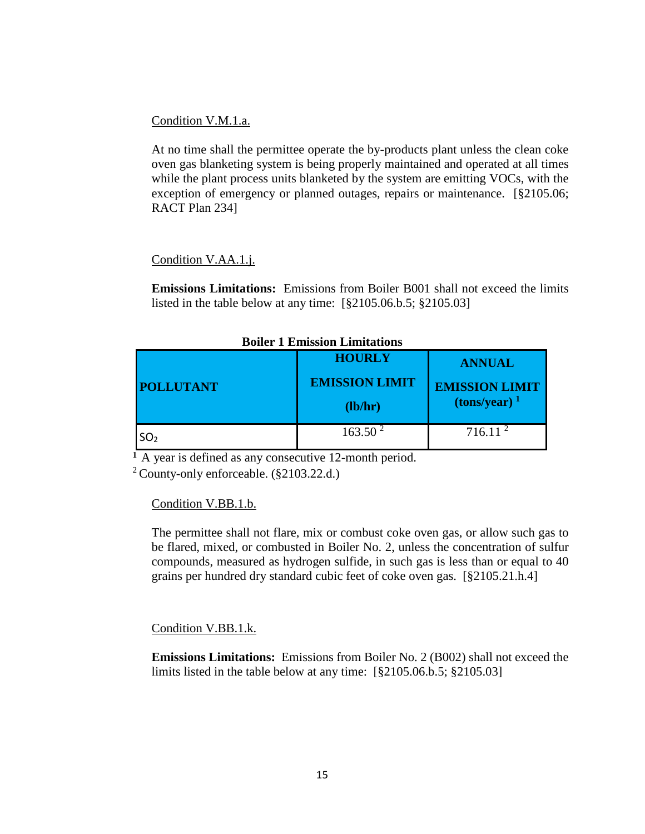Condition V.M.1.a.

At no time shall the permittee operate the by-products plant unless the clean coke oven gas blanketing system is being properly maintained and operated at all times while the plant process units blanketed by the system are emitting VOCs, with the exception of emergency or planned outages, repairs or maintenance. [§2105.06; RACT Plan 234]

## Condition V.AA.1.j.

**Emissions Limitations:** Emissions from Boiler B001 shall not exceed the limits listed in the table below at any time: [§2105.06.b.5; §2105.03]

| ронет в ранвяти раннецииз |                       |                                        |
|---------------------------|-----------------------|----------------------------------------|
|                           | <b>HOURLY</b>         | <b>ANNUAL</b>                          |
| <b>POLLUTANT</b>          | <b>EMISSION LIMIT</b> | <b>EMISSION LIMIT</b>                  |
|                           | (lb/hr)               | $\frac{1}{2}$ (tons/year) <sup>1</sup> |
| SO <sub>2</sub>           | 163.50 <sup>2</sup>   | 716.11 <sup>2</sup>                    |

**Boiler 1 Emission Limitations**

**<sup>1</sup>**A year is defined as any consecutive 12-month period.

 $2$  County-only enforceable. (§2103.22.d.)

## Condition V.BB.1.b.

The permittee shall not flare, mix or combust coke oven gas, or allow such gas to be flared, mixed, or combusted in Boiler No. 2, unless the concentration of sulfur compounds, measured as hydrogen sulfide, in such gas is less than or equal to 40 grains per hundred dry standard cubic feet of coke oven gas. [§2105.21.h.4]

## Condition V.BB.1.k.

**Emissions Limitations:** Emissions from Boiler No. 2 (B002) shall not exceed the limits listed in the table below at any time: [§2105.06.b.5; §2105.03]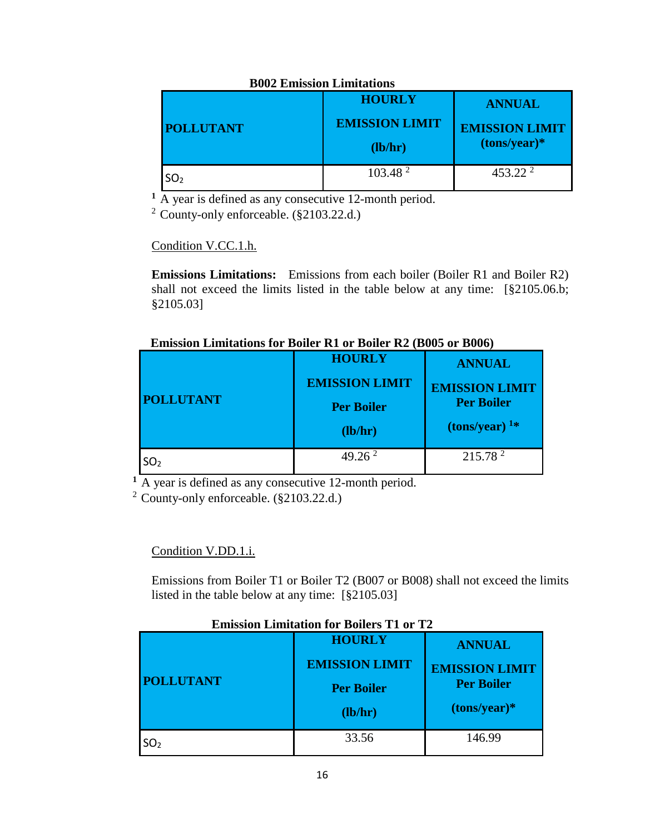## **B002 Emission Limitations**

| <b>POLLUTANT</b> | <b>HOURLY</b><br><b>EMISSION LIMIT</b><br>(lb/hr) | <b>ANNUAL</b><br><b>EMISSION LIMIT</b><br>$(tons/year)*$ |
|------------------|---------------------------------------------------|----------------------------------------------------------|
| SO <sub>2</sub>  | 103.48 <sup>2</sup>                               | $453.22^2$                                               |

**<sup>1</sup>**A year is defined as any consecutive 12-month period.

2 County-only enforceable. (§2103.22.d.)

Condition V.CC.1.h.

**Emissions Limitations:** Emissions from each boiler (Boiler R1 and Boiler R2) shall not exceed the limits listed in the table below at any time: [§2105.06.b; §2105.03]

# **Emission Limitations for Boiler R1 or Boiler R2 (B005 or B006)**

|                  | <b>HOURLY</b>         | <b>ANNUAL</b>                           |
|------------------|-----------------------|-----------------------------------------|
|                  | <b>EMISSION LIMIT</b> | <b>EMISSION LIMIT</b>                   |
| <b>POLLUTANT</b> | <b>Per Boiler</b>     | <b>Per Boiler</b>                       |
|                  | $(lb/hr)$             | $\frac{1}{2}$ (tons/year) <sup>1*</sup> |
| SO <sub>2</sub>  | 49.26 <sup>2</sup>    | 215.78 <sup>2</sup>                     |

<sup>1</sup>A year is defined as any consecutive 12-month period.

2 County-only enforceable. (§2103.22.d.)

Condition V.DD.1.i.

Emissions from Boiler T1 or Boiler T2 (B007 or B008) shall not exceed the limits listed in the table below at any time: [§2105.03]

# **Emission Limitation for Boilers T1 or T2**

| <b>POLLUTANT</b> | <b>HOURLY</b><br><b>EMISSION LIMIT</b><br><b>Per Boiler</b><br>(lb/hr) | <b>ANNUAL</b><br><b>EMISSION LIMIT</b><br><b>Per Boiler</b><br>$(tons/year)*$ |
|------------------|------------------------------------------------------------------------|-------------------------------------------------------------------------------|
| SO <sub>2</sub>  | 33.56                                                                  | 146.99                                                                        |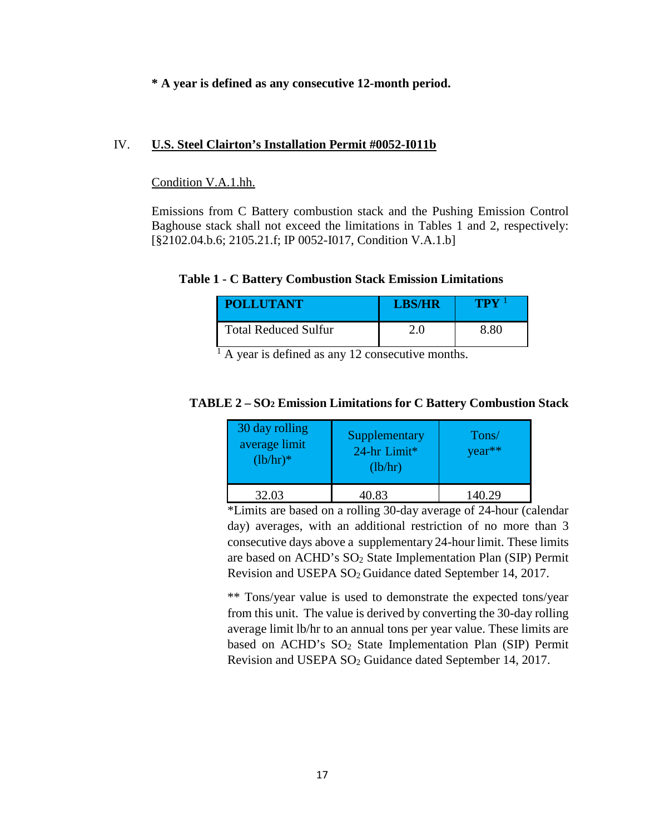## **\* A year is defined as any consecutive 12-month period.**

### IV. **U.S. Steel Clairton's Installation Permit #0052-I011b**

### Condition V.A.1.hh.

Emissions from C Battery combustion stack and the Pushing Emission Control Baghouse stack shall not exceed the limitations in Tables 1 and 2, respectively: [§2102.04.b.6; 2105.21.f; IP 0052-I017, Condition V.A.1.b]

### **Table 1 - C Battery Combustion Stack Emission Limitations**

| <b>POLLUTANT</b>            | <b>LBS/HR</b> | TPY  |
|-----------------------------|---------------|------|
| <b>Total Reduced Sulfur</b> | 2.0           | 8.80 |

 $<sup>1</sup>$  A year is defined as any 12 consecutive months.</sup>

## **TABLE 2 – SO2 Emission Limitations for C Battery Combustion Stack**

| 30 day rolling<br>average limit<br>$(lb/hr)*$ | Supplementary<br>24-hr Limit*<br>(lb/hr) | Tons/<br>$year**$ |
|-----------------------------------------------|------------------------------------------|-------------------|
| 32.03                                         | 40.83                                    | 140.29            |

\*Limits are based on a rolling 30-day average of 24-hour (calendar day) averages, with an additional restriction of no more than 3 consecutive days above a supplementary 24-hour limit. These limits are based on ACHD's SO2 State Implementation Plan (SIP) Permit Revision and USEPA SO2 Guidance dated September 14, 2017.

\*\* Tons/year value is used to demonstrate the expected tons/year from this unit. The value is derived by converting the 30-day rolling average limit lb/hr to an annual tons per year value. These limits are based on ACHD's SO<sub>2</sub> State Implementation Plan (SIP) Permit Revision and USEPA SO2 Guidance dated September 14, 2017.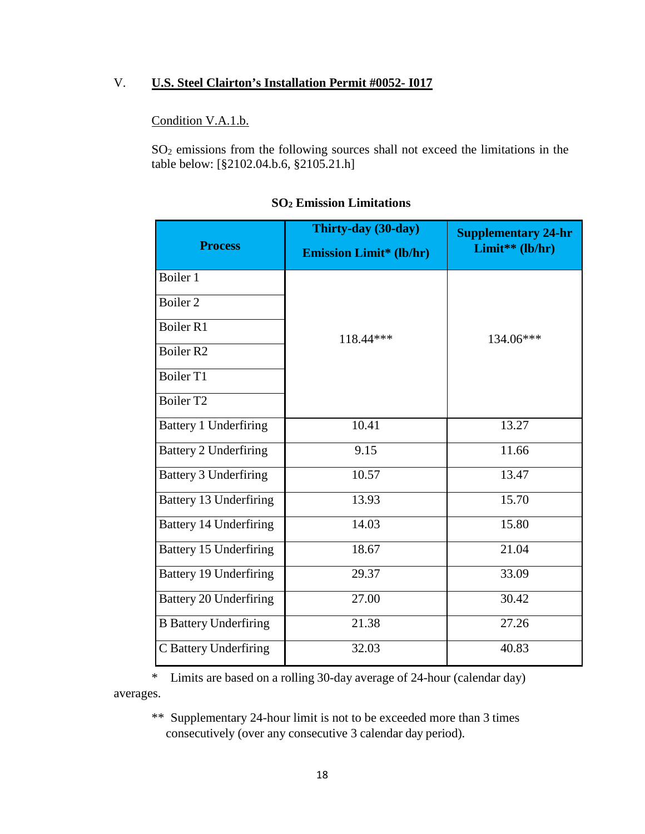## V. **U.S. Steel Clairton's Installation Permit #0052- I017**

## Condition V.A.1.b.

SO2 emissions from the following sources shall not exceed the limitations in the table below: [§2102.04.b.6, §2105.21.h]

| <b>Process</b>                | Thirty-day (30-day)<br><b>Emission Limit* (lb/hr)</b> | <b>Supplementary 24-hr</b><br>Limit** (lb/hr) |
|-------------------------------|-------------------------------------------------------|-----------------------------------------------|
| Boiler 1                      |                                                       |                                               |
| Boiler 2                      |                                                       |                                               |
| Boiler <sub>R1</sub>          | 118.44 ***                                            | 134.06***                                     |
| Boiler <sub>R2</sub>          |                                                       |                                               |
| Boiler T1                     |                                                       |                                               |
| Boiler T <sub>2</sub>         |                                                       |                                               |
| <b>Battery 1 Underfiring</b>  | 10.41                                                 | 13.27                                         |
| <b>Battery 2 Underfiring</b>  | 9.15                                                  | 11.66                                         |
| <b>Battery 3 Underfiring</b>  | 10.57                                                 | 13.47                                         |
| <b>Battery 13 Underfiring</b> | 13.93                                                 | 15.70                                         |
| <b>Battery 14 Underfiring</b> | 14.03                                                 | 15.80                                         |
| <b>Battery 15 Underfiring</b> | 18.67                                                 | 21.04                                         |
| <b>Battery 19 Underfiring</b> | 29.37                                                 | 33.09                                         |
| Battery 20 Underfiring        | 27.00                                                 | 30.42                                         |
| <b>B</b> Battery Underfiring  | 21.38                                                 | 27.26                                         |
| C Battery Underfiring         | 32.03                                                 | 40.83                                         |

### **SO2 Emission Limitations**

\* Limits are based on a rolling 30-day average of 24-hour (calendar day) averages.

\*\* Supplementary 24-hour limit is not to be exceeded more than 3 times consecutively (over any consecutive 3 calendar day period).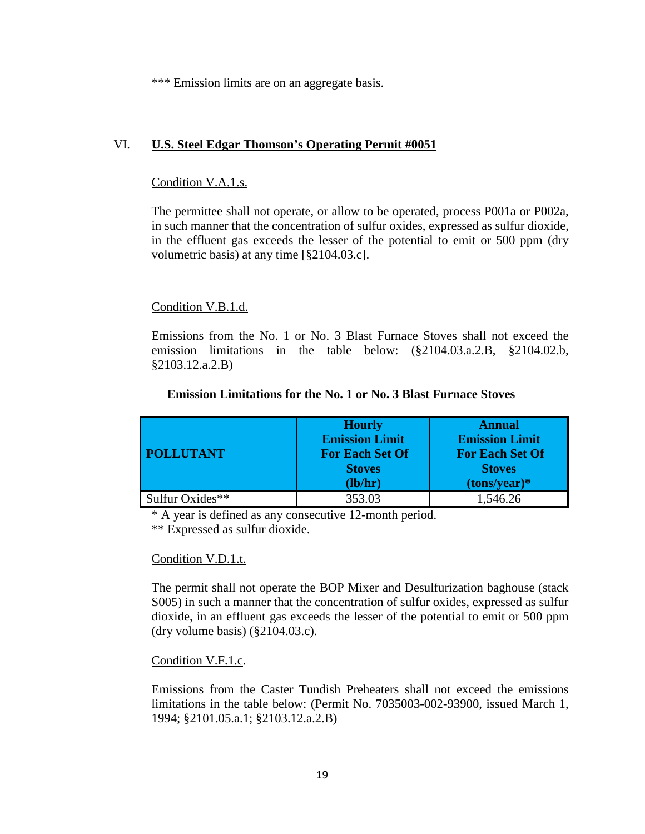\*\*\* Emission limits are on an aggregate basis.

## VI. **U.S. Steel Edgar Thomson's Operating Permit #0051**

## Condition V.A.1.s.

The permittee shall not operate, or allow to be operated, process P001a or P002a, in such manner that the concentration of sulfur oxides, expressed as sulfur dioxide, in the effluent gas exceeds the lesser of the potential to emit or 500 ppm (dry volumetric basis) at any time [§2104.03.c].

## Condition V.B.1.d.

Emissions from the No. 1 or No. 3 Blast Furnace Stoves shall not exceed the emission limitations in the table below: (§2104.03.a.2.B, §2104.02.b, §2103.12.a.2.B)

|                  | <b>Hourly</b><br><b>Emission Limit</b>  | <b>Annual</b><br><b>Emission Limit</b>  |
|------------------|-----------------------------------------|-----------------------------------------|
| <b>POLLUTANT</b> | <b>For Each Set Of</b><br><b>Stoves</b> | <b>For Each Set Of</b><br><b>Stoves</b> |
|                  | (lb/hr)                                 | $(tons/year)*$                          |
| Sulfur Oxides**  | 353.03                                  | 1,546.26                                |

### **Emission Limitations for the No. 1 or No. 3 Blast Furnace Stoves**

\* A year is defined as any consecutive 12-month period.

\*\* Expressed as sulfur dioxide.

## Condition V.D.1.t.

The permit shall not operate the BOP Mixer and Desulfurization baghouse (stack S005) in such a manner that the concentration of sulfur oxides, expressed as sulfur dioxide, in an effluent gas exceeds the lesser of the potential to emit or 500 ppm (dry volume basis) (§2104.03.c).

## Condition V.F.1.c.

Emissions from the Caster Tundish Preheaters shall not exceed the emissions limitations in the table below: (Permit No. 7035003-002-93900, issued March 1, 1994; §2101.05.a.1; §2103.12.a.2.B)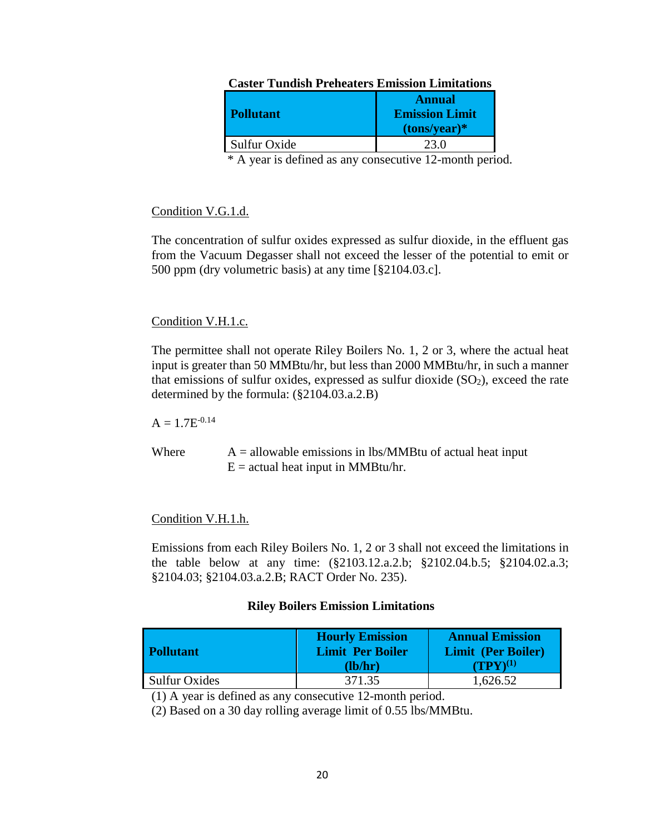| A WALWAUAL A A VALVULVA U AJAAANNA VAL AJAAAALUU VALV |                       |  |
|-------------------------------------------------------|-----------------------|--|
|                                                       | <b>Annual</b>         |  |
| <b>Pollutant</b>                                      | <b>Emission Limit</b> |  |
|                                                       | $(tons/year)*$        |  |
| Sulfur Oxide                                          |                       |  |

# **Caster Tundish Preheaters Emission Limitations**

\* A year is defined as any consecutive 12-month period.

## Condition V.G.1.d.

The concentration of sulfur oxides expressed as sulfur dioxide, in the effluent gas from the Vacuum Degasser shall not exceed the lesser of the potential to emit or 500 ppm (dry volumetric basis) at any time [§2104.03.c].

## Condition V.H.1.c.

The permittee shall not operate Riley Boilers No. 1, 2 or 3, where the actual heat input is greater than 50 MMBtu/hr, but less than 2000 MMBtu/hr, in such a manner that emissions of sulfur oxides, expressed as sulfur dioxide  $(SO<sub>2</sub>)$ , exceed the rate determined by the formula: (§2104.03.a.2.B)

 $A = 1.7E^{-0.14}$ 

Where  $A =$  allowable emissions in lbs/MMBtu of actual heat input  $E =$  actual heat input in MMBtu/hr.

## Condition V.H.1.h.

Emissions from each Riley Boilers No. 1, 2 or 3 shall not exceed the limitations in the table below at any time: (§2103.12.a.2.b; §2102.04.b.5; §2104.02.a.3; §2104.03; §2104.03.a.2.B; RACT Order No. 235).

### **Riley Boilers Emission Limitations**

| <b>Pollutant</b>     | <b>Hourly Emission</b><br><b>Limit Per Boiler</b><br>(lb/hr) | <b>Annual Emission</b><br><b>Limit (Per Boiler)</b><br>$(TPY)^{(1)}$ |
|----------------------|--------------------------------------------------------------|----------------------------------------------------------------------|
| <b>Sulfur Oxides</b> | 371.35                                                       | 1,626.52                                                             |

(1) A year is defined as any consecutive 12-month period.

(2) Based on a 30 day rolling average limit of 0.55 lbs/MMBtu.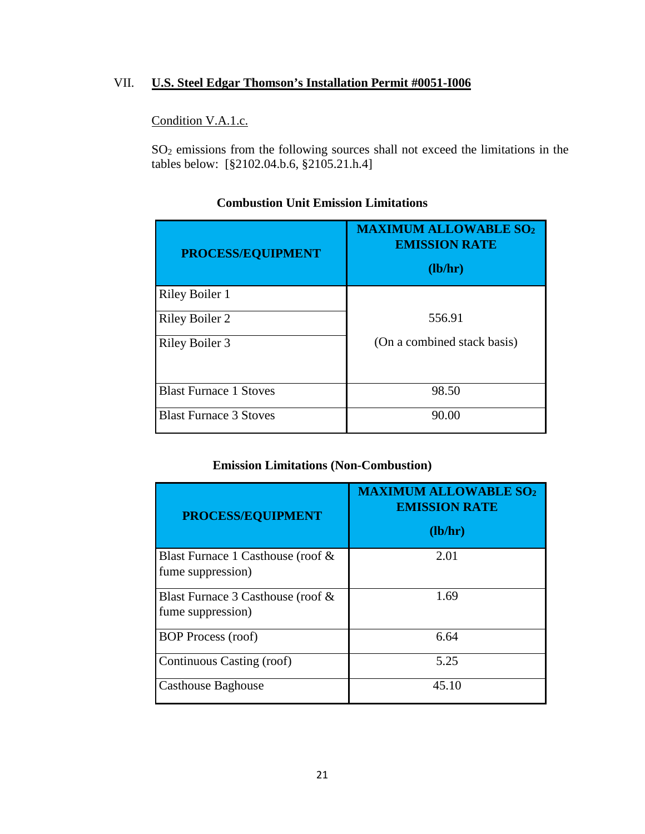## VII. **U.S. Steel Edgar Thomson's Installation Permit #0051-I006**

## Condition V.A.1.c.

SO2 emissions from the following sources shall not exceed the limitations in the tables below: [§2102.04.b.6, §2105.21.h.4]

| PROCESS/EQUIPMENT             | <b>MAXIMUM ALLOWABLE SO2</b><br><b>EMISSION RATE</b><br>(lb/hr) |
|-------------------------------|-----------------------------------------------------------------|
| Riley Boiler 1                |                                                                 |
| <b>Riley Boiler 2</b>         | 556.91                                                          |
| Riley Boiler 3                | (On a combined stack basis)                                     |
| <b>Blast Furnace 1 Stoves</b> | 98.50                                                           |
| <b>Blast Furnace 3 Stoves</b> | 90.00                                                           |

# **Combustion Unit Emission Limitations**

# **Emission Limitations (Non-Combustion)**

| PROCESS/EQUIPMENT                                      | <b>MAXIMUM ALLOWABLE SO2</b><br><b>EMISSION RATE</b><br>(lb/hr) |
|--------------------------------------------------------|-----------------------------------------------------------------|
| Blast Furnace 1 Casthouse (roof &<br>fume suppression) | 2.01                                                            |
| Blast Furnace 3 Casthouse (roof &<br>fume suppression) | 1.69                                                            |
| <b>BOP</b> Process (roof)                              | 6.64                                                            |
| Continuous Casting (roof)                              | 5.25                                                            |
| <b>Casthouse Baghouse</b>                              | 45.10                                                           |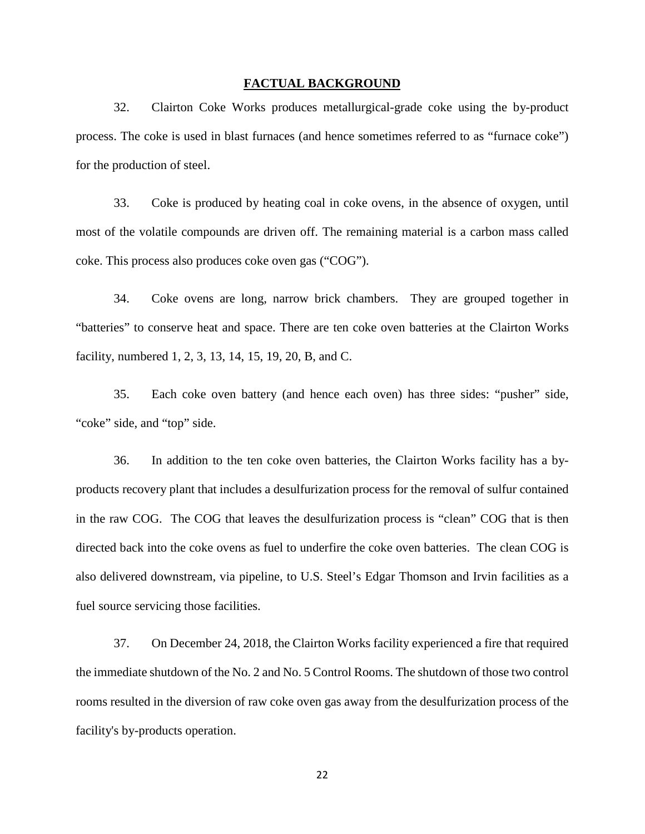#### **FACTUAL BACKGROUND**

32. Clairton Coke Works produces metallurgical-grade coke using the by-product process. The coke is used in blast furnaces (and hence sometimes referred to as "furnace coke") for the production of steel.

33. Coke is produced by heating coal in coke ovens, in the absence of oxygen, until most of the volatile compounds are driven off. The remaining material is a carbon mass called coke. This process also produces coke oven gas ("COG").

34. Coke ovens are long, narrow brick chambers. They are grouped together in "batteries" to conserve heat and space. There are ten coke oven batteries at the Clairton Works facility, numbered 1, 2, 3, 13, 14, 15, 19, 20, B, and C.

35. Each coke oven battery (and hence each oven) has three sides: "pusher" side, "coke" side, and "top" side.

36. In addition to the ten coke oven batteries, the Clairton Works facility has a byproducts recovery plant that includes a desulfurization process for the removal of sulfur contained in the raw COG. The COG that leaves the desulfurization process is "clean" COG that is then directed back into the coke ovens as fuel to underfire the coke oven batteries. The clean COG is also delivered downstream, via pipeline, to U.S. Steel's Edgar Thomson and Irvin facilities as a fuel source servicing those facilities.

37. On December 24, 2018, the Clairton Works facility experienced a fire that required the immediate shutdown of the No. 2 and No. 5 Control Rooms. The shutdown of those two control rooms resulted in the diversion of raw coke oven gas away from the desulfurization process of the facility's by-products operation.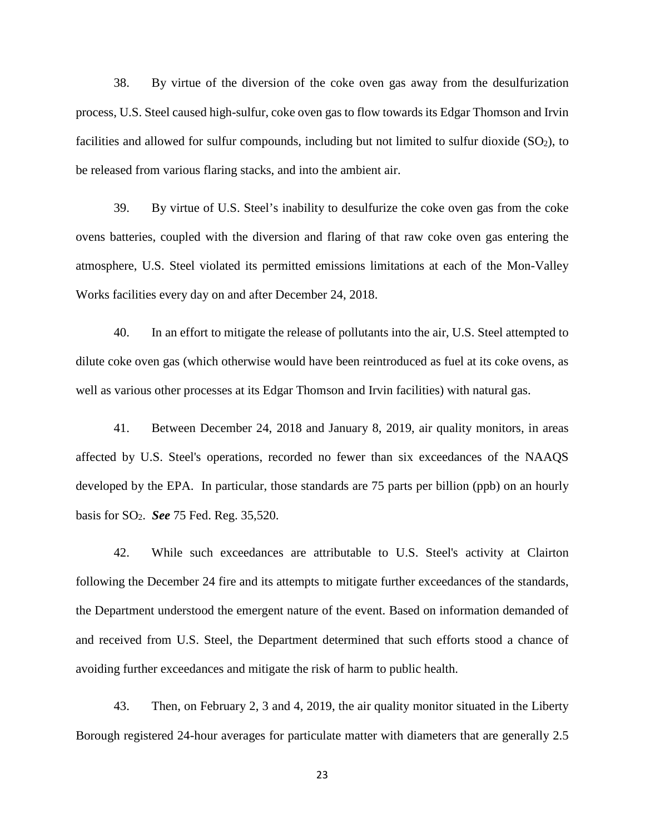38. By virtue of the diversion of the coke oven gas away from the desulfurization process, U.S. Steel caused high-sulfur, coke oven gas to flow towards its Edgar Thomson and Irvin facilities and allowed for sulfur compounds, including but not limited to sulfur dioxide  $(SO<sub>2</sub>)$ , to be released from various flaring stacks, and into the ambient air.

39. By virtue of U.S. Steel's inability to desulfurize the coke oven gas from the coke ovens batteries, coupled with the diversion and flaring of that raw coke oven gas entering the atmosphere, U.S. Steel violated its permitted emissions limitations at each of the Mon-Valley Works facilities every day on and after December 24, 2018.

40. In an effort to mitigate the release of pollutants into the air, U.S. Steel attempted to dilute coke oven gas (which otherwise would have been reintroduced as fuel at its coke ovens, as well as various other processes at its Edgar Thomson and Irvin facilities) with natural gas.

41. Between December 24, 2018 and January 8, 2019, air quality monitors, in areas affected by U.S. Steel's operations, recorded no fewer than six exceedances of the NAAQS developed by the EPA. In particular, those standards are 75 parts per billion (ppb) on an hourly basis for SO2. *See* 75 Fed. Reg. 35,520.

42. While such exceedances are attributable to U.S. Steel's activity at Clairton following the December 24 fire and its attempts to mitigate further exceedances of the standards, the Department understood the emergent nature of the event. Based on information demanded of and received from U.S. Steel, the Department determined that such efforts stood a chance of avoiding further exceedances and mitigate the risk of harm to public health.

43. Then, on February 2, 3 and 4, 2019, the air quality monitor situated in the Liberty Borough registered 24-hour averages for particulate matter with diameters that are generally 2.5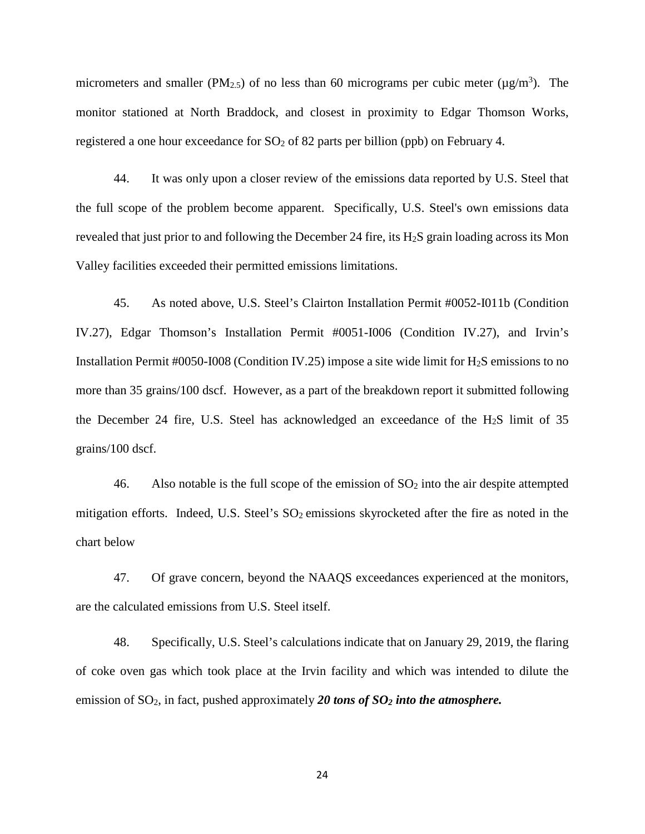micrometers and smaller (PM<sub>2.5</sub>) of no less than 60 micrograms per cubic meter ( $\mu$ g/m<sup>3</sup>). The monitor stationed at North Braddock, and closest in proximity to Edgar Thomson Works, registered a one hour exceedance for  $SO<sub>2</sub>$  of 82 parts per billion (ppb) on February 4.

44. It was only upon a closer review of the emissions data reported by U.S. Steel that the full scope of the problem become apparent. Specifically, U.S. Steel's own emissions data revealed that just prior to and following the December 24 fire, its H2S grain loading across its Mon Valley facilities exceeded their permitted emissions limitations.

45. As noted above, U.S. Steel's Clairton Installation Permit #0052-I011b (Condition IV.27), Edgar Thomson's Installation Permit #0051-I006 (Condition IV.27), and Irvin's Installation Permit #0050-I008 (Condition IV.25) impose a site wide limit for H2S emissions to no more than 35 grains/100 dscf. However, as a part of the breakdown report it submitted following the December 24 fire, U.S. Steel has acknowledged an exceedance of the  $H<sub>2</sub>S$  limit of 35 grains/100 dscf.

46. Also notable is the full scope of the emission of  $SO<sub>2</sub>$  into the air despite attempted mitigation efforts. Indeed, U.S. Steel's SO<sub>2</sub> emissions skyrocketed after the fire as noted in the chart below

47. Of grave concern, beyond the NAAQS exceedances experienced at the monitors, are the calculated emissions from U.S. Steel itself.

48. Specifically, U.S. Steel's calculations indicate that on January 29, 2019, the flaring of coke oven gas which took place at the Irvin facility and which was intended to dilute the emission of SO2, in fact, pushed approximately *20 tons of SO2 into the atmosphere.*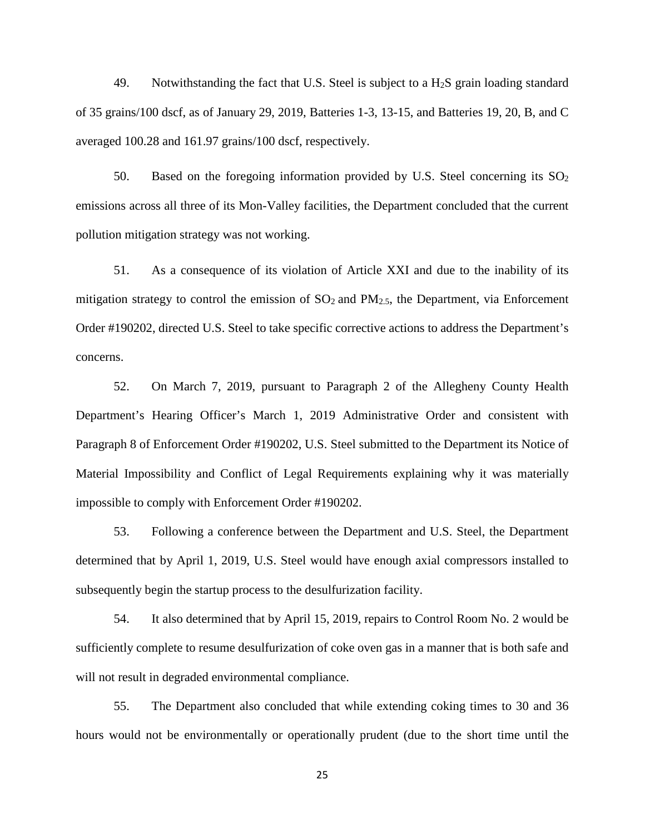49. Notwithstanding the fact that U.S. Steel is subject to a  $H<sub>2</sub>S$  grain loading standard of 35 grains/100 dscf, as of January 29, 2019, Batteries 1-3, 13-15, and Batteries 19, 20, B, and C averaged 100.28 and 161.97 grains/100 dscf, respectively.

50. Based on the foregoing information provided by U.S. Steel concerning its  $SO<sub>2</sub>$ emissions across all three of its Mon-Valley facilities, the Department concluded that the current pollution mitigation strategy was not working.

51. As a consequence of its violation of Article XXI and due to the inability of its mitigation strategy to control the emission of  $SO<sub>2</sub>$  and  $PM<sub>2.5</sub>$ , the Department, via Enforcement Order #190202, directed U.S. Steel to take specific corrective actions to address the Department's concerns.

52. On March 7, 2019, pursuant to Paragraph 2 of the Allegheny County Health Department's Hearing Officer's March 1, 2019 Administrative Order and consistent with Paragraph 8 of Enforcement Order #190202, U.S. Steel submitted to the Department its Notice of Material Impossibility and Conflict of Legal Requirements explaining why it was materially impossible to comply with Enforcement Order #190202.

53. Following a conference between the Department and U.S. Steel, the Department determined that by April 1, 2019, U.S. Steel would have enough axial compressors installed to subsequently begin the startup process to the desulfurization facility.

54. It also determined that by April 15, 2019, repairs to Control Room No. 2 would be sufficiently complete to resume desulfurization of coke oven gas in a manner that is both safe and will not result in degraded environmental compliance.

55. The Department also concluded that while extending coking times to 30 and 36 hours would not be environmentally or operationally prudent (due to the short time until the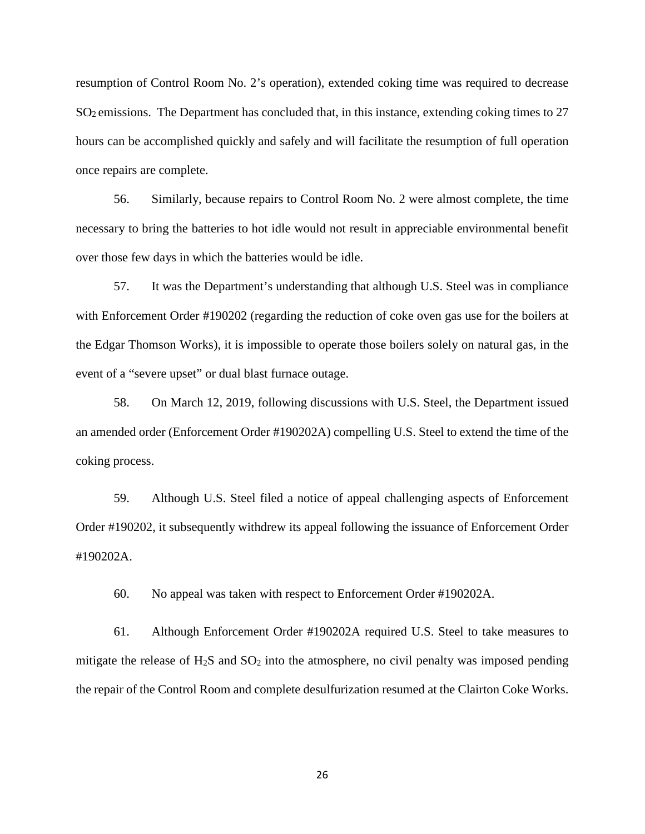resumption of Control Room No. 2's operation), extended coking time was required to decrease SO2 emissions. The Department has concluded that, in this instance, extending coking times to 27 hours can be accomplished quickly and safely and will facilitate the resumption of full operation once repairs are complete.

56. Similarly, because repairs to Control Room No. 2 were almost complete, the time necessary to bring the batteries to hot idle would not result in appreciable environmental benefit over those few days in which the batteries would be idle.

57. It was the Department's understanding that although U.S. Steel was in compliance with Enforcement Order #190202 (regarding the reduction of coke oven gas use for the boilers at the Edgar Thomson Works), it is impossible to operate those boilers solely on natural gas, in the event of a "severe upset" or dual blast furnace outage.

58. On March 12, 2019, following discussions with U.S. Steel, the Department issued an amended order (Enforcement Order #190202A) compelling U.S. Steel to extend the time of the coking process.

59. Although U.S. Steel filed a notice of appeal challenging aspects of Enforcement Order #190202, it subsequently withdrew its appeal following the issuance of Enforcement Order #190202A.

60. No appeal was taken with respect to Enforcement Order #190202A.

61. Although Enforcement Order #190202A required U.S. Steel to take measures to mitigate the release of  $H_2S$  and  $SO_2$  into the atmosphere, no civil penalty was imposed pending the repair of the Control Room and complete desulfurization resumed at the Clairton Coke Works.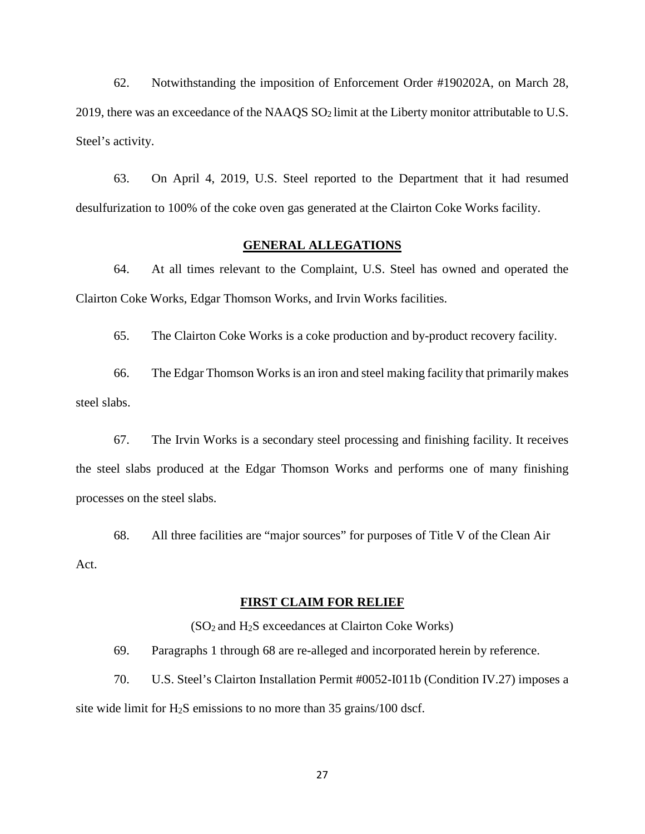62. Notwithstanding the imposition of Enforcement Order #190202A, on March 28, 2019, there was an exceedance of the NAAQS SO2 limit at the Liberty monitor attributable to U.S. Steel's activity.

63. On April 4, 2019, U.S. Steel reported to the Department that it had resumed desulfurization to 100% of the coke oven gas generated at the Clairton Coke Works facility.

### **GENERAL ALLEGATIONS**

64. At all times relevant to the Complaint, U.S. Steel has owned and operated the Clairton Coke Works, Edgar Thomson Works, and Irvin Works facilities.

65. The Clairton Coke Works is a coke production and by-product recovery facility.

66. The Edgar Thomson Works is an iron and steel making facility that primarily makes steel slabs.

67. The Irvin Works is a secondary steel processing and finishing facility. It receives the steel slabs produced at the Edgar Thomson Works and performs one of many finishing processes on the steel slabs.

68. All three facilities are "major sources" for purposes of Title V of the Clean Air Act.

## **FIRST CLAIM FOR RELIEF**

 $(SO<sub>2</sub>$  and H<sub>2</sub>S exceedances at Clairton Coke Works)

69. Paragraphs 1 through 68 are re-alleged and incorporated herein by reference.

70. U.S. Steel's Clairton Installation Permit #0052-I011b (Condition IV.27) imposes a site wide limit for  $H_2S$  emissions to no more than 35 grains/100 dscf.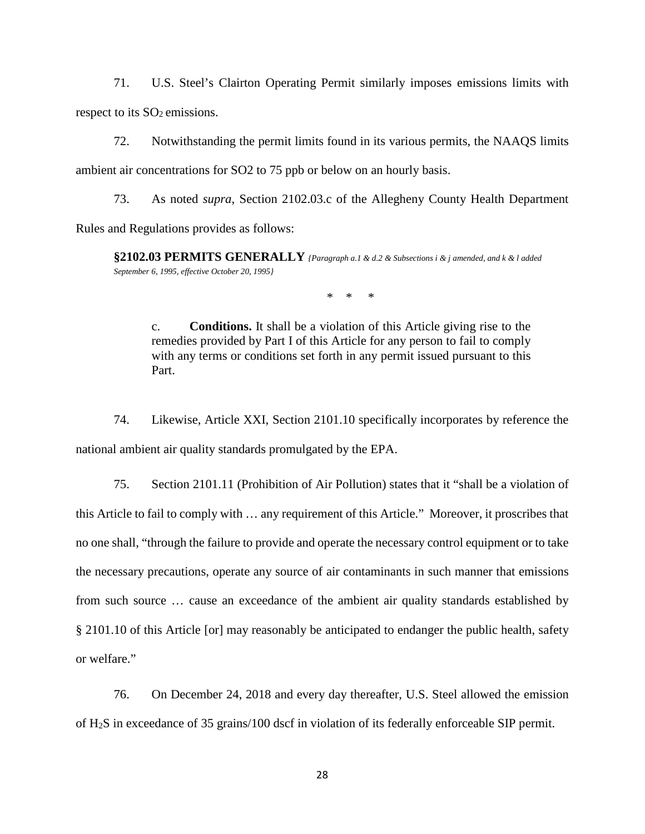71. U.S. Steel's Clairton Operating Permit similarly imposes emissions limits with respect to its  $SO<sub>2</sub>$  emissions.

72. Notwithstanding the permit limits found in its various permits, the NAAQS limits ambient air concentrations for SO2 to 75 ppb or below on an hourly basis.

73. As noted *supra*, Section 2102.03.c of the Allegheny County Health Department Rules and Regulations provides as follows:

**§2102.03 PERMITS GENERALLY** *{Paragraph a.1 & d.2 & Subsections i & j amended, and k & l added September 6, 1995, effective October 20, 1995}*

\* \* \*

c. **Conditions.** It shall be a violation of this Article giving rise to the remedies provided by Part I of this Article for any person to fail to comply with any terms or conditions set forth in any permit issued pursuant to this Part.

74. Likewise, Article XXI, Section 2101.10 specifically incorporates by reference the national ambient air quality standards promulgated by the EPA.

75. Section 2101.11 (Prohibition of Air Pollution) states that it "shall be a violation of this Article to fail to comply with … any requirement of this Article." Moreover, it proscribes that no one shall, "through the failure to provide and operate the necessary control equipment or to take the necessary precautions, operate any source of air contaminants in such manner that emissions from such source … cause an exceedance of the ambient air quality standards established by § 2101.10 of this Article [or] may reasonably be anticipated to endanger the public health, safety or welfare."

76. On December 24, 2018 and every day thereafter, U.S. Steel allowed the emission of H2S in exceedance of 35 grains/100 dscf in violation of its federally enforceable SIP permit.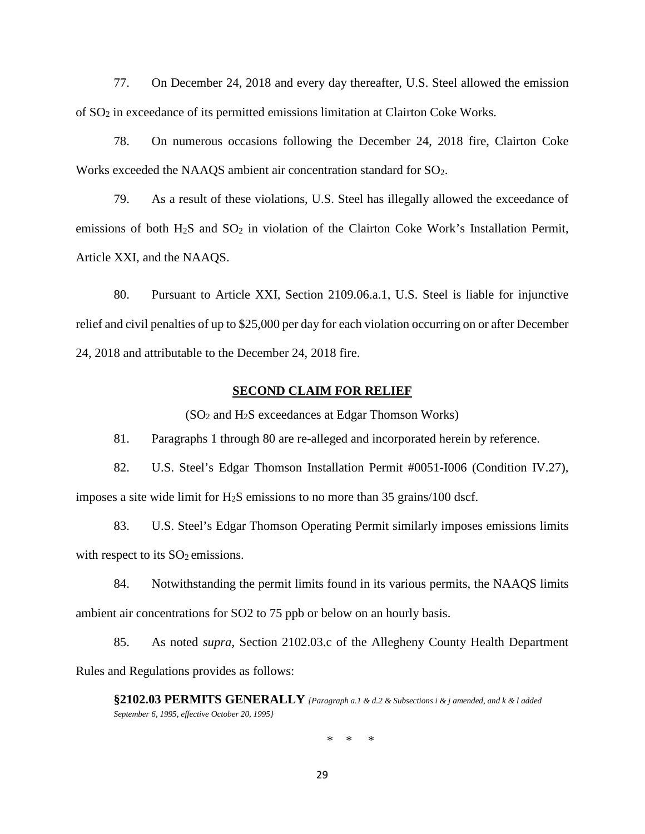77. On December 24, 2018 and every day thereafter, U.S. Steel allowed the emission of SO2 in exceedance of its permitted emissions limitation at Clairton Coke Works.

78. On numerous occasions following the December 24, 2018 fire, Clairton Coke Works exceeded the NAAQS ambient air concentration standard for SO<sub>2</sub>.

79. As a result of these violations, U.S. Steel has illegally allowed the exceedance of emissions of both H<sub>2</sub>S and SO<sub>2</sub> in violation of the Clairton Coke Work's Installation Permit, Article XXI, and the NAAQS.

80. Pursuant to Article XXI, Section 2109.06.a.1, U.S. Steel is liable for injunctive relief and civil penalties of up to \$25,000 per day for each violation occurring on or after December 24, 2018 and attributable to the December 24, 2018 fire.

#### **SECOND CLAIM FOR RELIEF**

 $(SO<sub>2</sub>$  and H<sub>2</sub>S exceedances at Edgar Thomson Works)

81. Paragraphs 1 through 80 are re-alleged and incorporated herein by reference.

82. U.S. Steel's Edgar Thomson Installation Permit #0051-I006 (Condition IV.27), imposes a site wide limit for H<sub>2</sub>S emissions to no more than  $35$  grains/100 dscf.

83. U.S. Steel's Edgar Thomson Operating Permit similarly imposes emissions limits with respect to its  $SO_2$  emissions.

84. Notwithstanding the permit limits found in its various permits, the NAAQS limits ambient air concentrations for SO2 to 75 ppb or below on an hourly basis.

85. As noted *supra*, Section 2102.03.c of the Allegheny County Health Department Rules and Regulations provides as follows:

**§2102.03 PERMITS GENERALLY** *{Paragraph a.1 & d.2 & Subsections i & j amended, and k & l added September 6, 1995, effective October 20, 1995}*

\* \* \*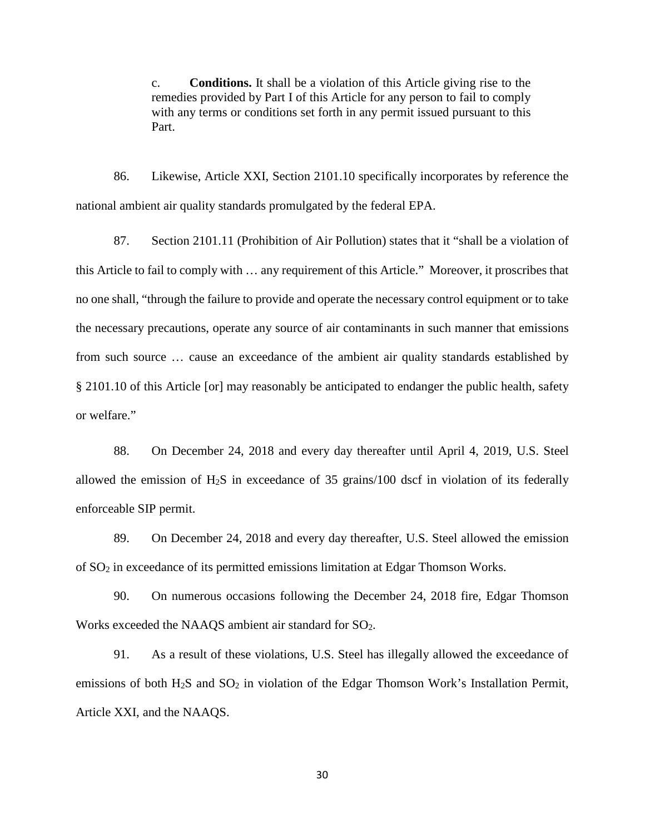c. **Conditions.** It shall be a violation of this Article giving rise to the remedies provided by Part I of this Article for any person to fail to comply with any terms or conditions set forth in any permit issued pursuant to this Part.

86. Likewise, Article XXI, Section 2101.10 specifically incorporates by reference the national ambient air quality standards promulgated by the federal EPA.

87. Section 2101.11 (Prohibition of Air Pollution) states that it "shall be a violation of this Article to fail to comply with … any requirement of this Article." Moreover, it proscribes that no one shall, "through the failure to provide and operate the necessary control equipment or to take the necessary precautions, operate any source of air contaminants in such manner that emissions from such source … cause an exceedance of the ambient air quality standards established by § 2101.10 of this Article [or] may reasonably be anticipated to endanger the public health, safety or welfare."

88. On December 24, 2018 and every day thereafter until April 4, 2019, U.S. Steel allowed the emission of  $H_2S$  in exceedance of 35 grains/100 dscf in violation of its federally enforceable SIP permit.

89. On December 24, 2018 and every day thereafter, U.S. Steel allowed the emission of SO2 in exceedance of its permitted emissions limitation at Edgar Thomson Works.

90. On numerous occasions following the December 24, 2018 fire, Edgar Thomson Works exceeded the NAAQS ambient air standard for SO2.

91. As a result of these violations, U.S. Steel has illegally allowed the exceedance of emissions of both  $H_2S$  and  $SO_2$  in violation of the Edgar Thomson Work's Installation Permit, Article XXI, and the NAAQS.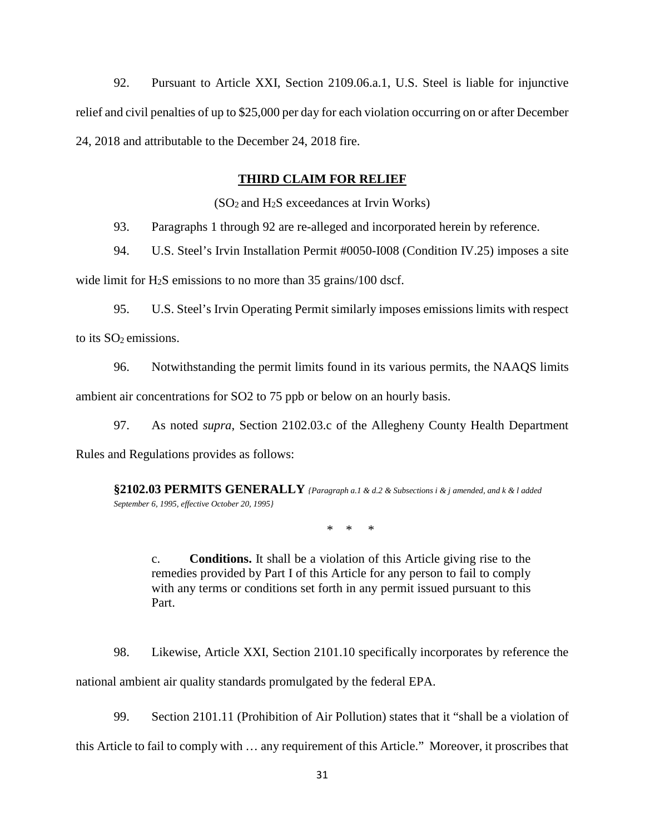92. Pursuant to Article XXI, Section 2109.06.a.1, U.S. Steel is liable for injunctive relief and civil penalties of up to \$25,000 per day for each violation occurring on or after December 24, 2018 and attributable to the December 24, 2018 fire.

### **THIRD CLAIM FOR RELIEF**

(SO2 and H2S exceedances at Irvin Works)

93. Paragraphs 1 through 92 are re-alleged and incorporated herein by reference.

94. U.S. Steel's Irvin Installation Permit #0050-I008 (Condition IV.25) imposes a site

wide limit for H<sub>2</sub>S emissions to no more than 35 grains/100 dscf.

95. U.S. Steel's Irvin Operating Permit similarly imposes emissions limits with respect to its SO<sub>2</sub> emissions.

96. Notwithstanding the permit limits found in its various permits, the NAAQS limits ambient air concentrations for SO2 to 75 ppb or below on an hourly basis.

97. As noted *supra*, Section 2102.03.c of the Allegheny County Health Department

Rules and Regulations provides as follows:

**§2102.03 PERMITS GENERALLY** *{Paragraph a.1 & d.2 & Subsections i & j amended, and k & l added September 6, 1995, effective October 20, 1995}*

\* \* \*

c. **Conditions.** It shall be a violation of this Article giving rise to the remedies provided by Part I of this Article for any person to fail to comply with any terms or conditions set forth in any permit issued pursuant to this Part.

98. Likewise, Article XXI, Section 2101.10 specifically incorporates by reference the national ambient air quality standards promulgated by the federal EPA.

99. Section 2101.11 (Prohibition of Air Pollution) states that it "shall be a violation of

this Article to fail to comply with … any requirement of this Article." Moreover, it proscribes that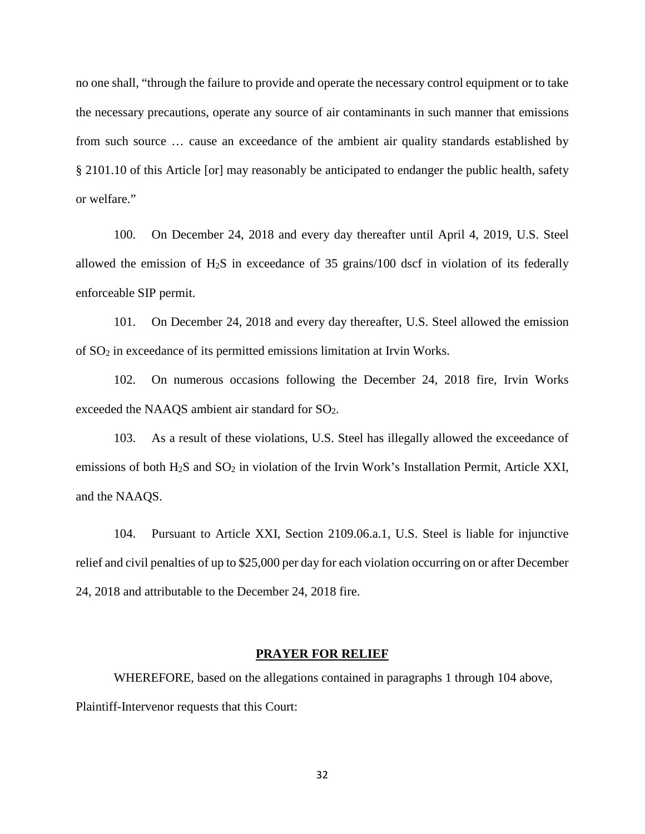no one shall, "through the failure to provide and operate the necessary control equipment or to take the necessary precautions, operate any source of air contaminants in such manner that emissions from such source … cause an exceedance of the ambient air quality standards established by § 2101.10 of this Article [or] may reasonably be anticipated to endanger the public health, safety or welfare."

100. On December 24, 2018 and every day thereafter until April 4, 2019, U.S. Steel allowed the emission of  $H_2S$  in exceedance of 35 grains/100 dscf in violation of its federally enforceable SIP permit.

101. On December 24, 2018 and every day thereafter, U.S. Steel allowed the emission of SO2 in exceedance of its permitted emissions limitation at Irvin Works.

102. On numerous occasions following the December 24, 2018 fire, Irvin Works exceeded the NAAQS ambient air standard for SO<sub>2</sub>.

103. As a result of these violations, U.S. Steel has illegally allowed the exceedance of emissions of both H<sub>2</sub>S and SO<sub>2</sub> in violation of the Irvin Work's Installation Permit, Article XXI, and the NAAQS.

104. Pursuant to Article XXI, Section 2109.06.a.1, U.S. Steel is liable for injunctive relief and civil penalties of up to \$25,000 per day for each violation occurring on or after December 24, 2018 and attributable to the December 24, 2018 fire.

### **PRAYER FOR RELIEF**

WHEREFORE, based on the allegations contained in paragraphs 1 through 104 above, Plaintiff-Intervenor requests that this Court: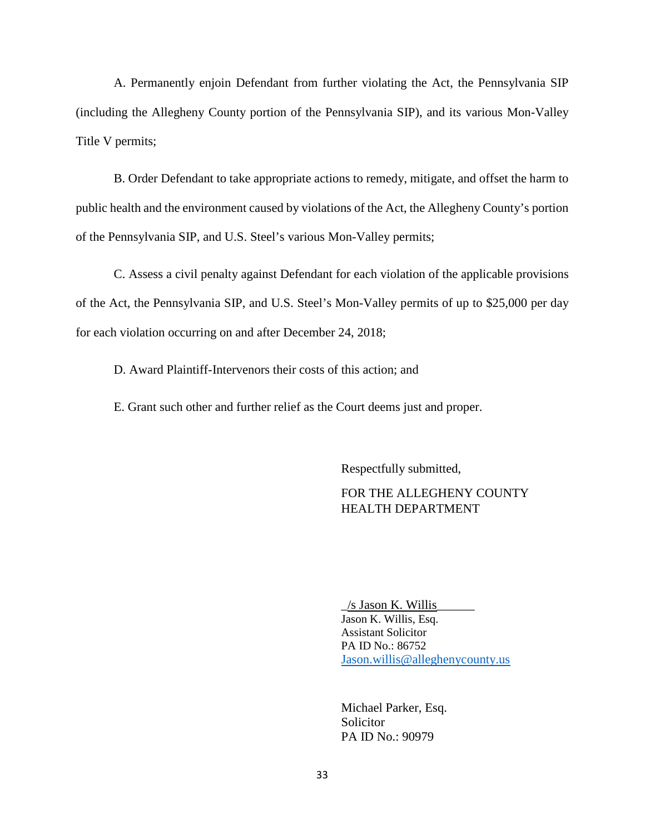A. Permanently enjoin Defendant from further violating the Act, the Pennsylvania SIP (including the Allegheny County portion of the Pennsylvania SIP), and its various Mon-Valley Title V permits;

B. Order Defendant to take appropriate actions to remedy, mitigate, and offset the harm to public health and the environment caused by violations of the Act, the Allegheny County's portion of the Pennsylvania SIP, and U.S. Steel's various Mon-Valley permits;

C. Assess a civil penalty against Defendant for each violation of the applicable provisions of the Act, the Pennsylvania SIP, and U.S. Steel's Mon-Valley permits of up to \$25,000 per day for each violation occurring on and after December 24, 2018;

D. Award Plaintiff-Intervenors their costs of this action; and

E. Grant such other and further relief as the Court deems just and proper.

Respectfully submitted,

# FOR THE ALLEGHENY COUNTY HEALTH DEPARTMENT

 $\frac{1}{s}$  Jason K. Willis Jason K. Willis, Esq. Assistant Solicitor PA ID No.: 86752 [Jason.willis@alleghenycounty.us](mailto:Jason.willis@alleghenycounty.us)

Michael Parker, Esq. Solicitor PA ID No.: 90979